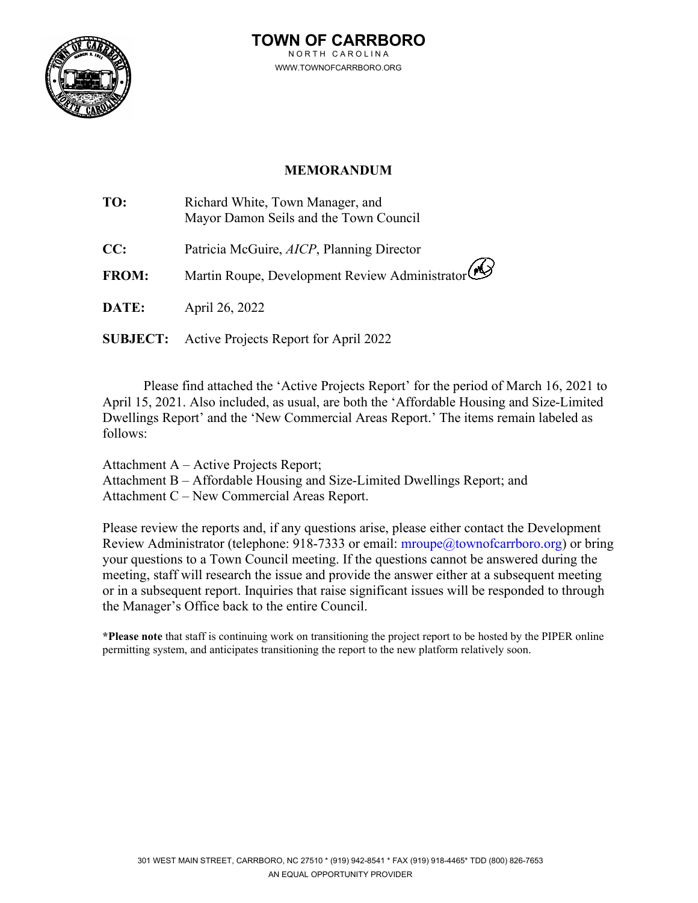#### **TOWN OF CARRBORO** NORTH CAROLINA



WWW.TOWNOFCARRBORO.ORG

### **MEMORANDUM**

| TO:          | Richard White, Town Manager, and<br>Mayor Damon Seils and the Town Council |
|--------------|----------------------------------------------------------------------------|
| CC:          | Patricia McGuire, <i>AICP</i> , Planning Director                          |
| <b>FROM:</b> | Martin Roupe, Development Review Administrator                             |
| DATE:        | April 26, 2022                                                             |
|              | <b>SUBJECT:</b> Active Projects Report for April 2022                      |

Please find attached the 'Active Projects Report' for the period of March 16, 2021 to April 15, 2021. Also included, as usual, are both the 'Affordable Housing and Size-Limited Dwellings Report' and the 'New Commercial Areas Report.' The items remain labeled as follows:

Attachment A – Active Projects Report; Attachment B – Affordable Housing and Size-Limited Dwellings Report; and Attachment C – New Commercial Areas Report.

Please review the reports and, if any questions arise, please either contact the Development Review Administrator (telephone: 918-7333 or email:  $\frac{m \cdot \cos(\alpha)}{m \cdot \cos(\alpha)}$  or bring your questions to a Town Council meeting. If the questions cannot be answered during the meeting, staff will research the issue and provide the answer either at a subsequent meeting or in a subsequent report. Inquiries that raise significant issues will be responded to through the Manager's Office back to the entire Council.

**\*Please note** that staff is continuing work on transitioning the project report to be hosted by the PIPER online permitting system, and anticipates transitioning the report to the new platform relatively soon.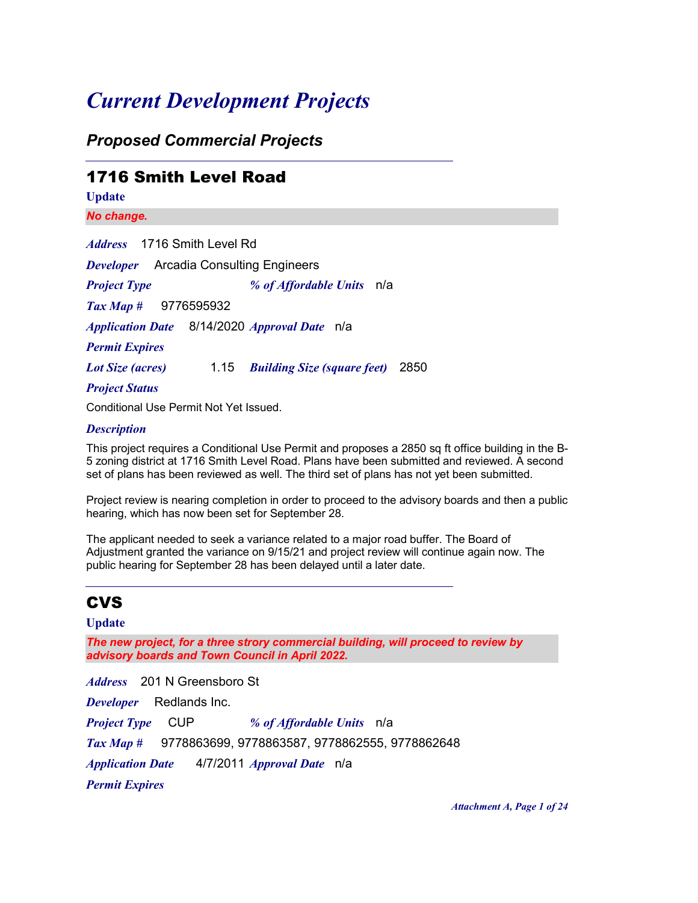## *Current Development Projects*

### *Proposed Commercial Projects*

### 1716 Smith Level Road

| دو.<br>ı |
|----------|
|          |

*No change.*

1716 Smith Level Rd *Address*

*Developer* Arcadia Consulting Engineers

*Project Type % of Affordable Units* n/a

*Tax Map #* 9776595932

*Application Date Approval Date* n/a

*Permit Expires*

*Lot Size (acres) Building Size (square feet)* 2850

*Project Status*

Conditional Use Permit Not Yet Issued.

#### *Description*

This project requires a Conditional Use Permit and proposes a 2850 sq ft office building in the B-5 zoning district at 1716 Smith Level Road. Plans have been submitted and reviewed. A second set of plans has been reviewed as well. The third set of plans has not yet been submitted.

Project review is nearing completion in order to proceed to the advisory boards and then a public hearing, which has now been set for September 28.

The applicant needed to seek a variance related to a major road buffer. The Board of Adjustment granted the variance on 9/15/21 and project review will continue again now. The public hearing for September 28 has been delayed until a later date.

### CVS

#### **Update**

*The new project, for a three strory commercial building, will proceed to review by advisory boards and Town Council in April 2022.*

201 N Greensboro St *Address*

*Developer* Redlands Inc.

*Project Type* CUP *% of Affordable Units* n/a

*Tax Map #* 9778863699, 9778863587, 9778862555, 9778862648

*Application Date Approval Date* n/a

*Permit Expires*

*Attachment A, Page 1 of 24*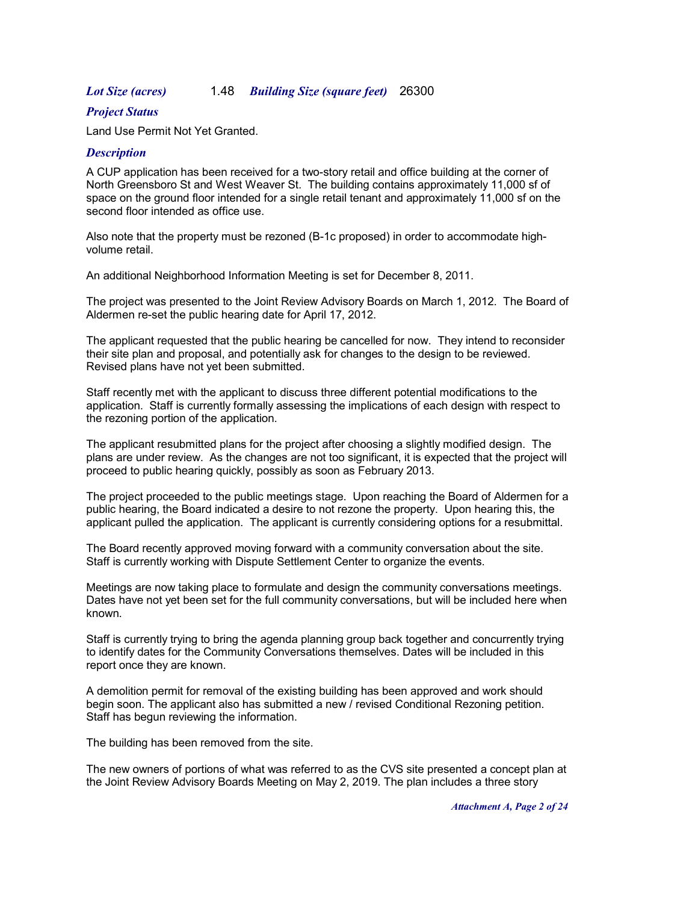#### *Lot Size (acres) Building Size (square feet)* 26300

#### *Project Status*

Land Use Permit Not Yet Granted.

#### *Description*

A CUP application has been received for a two-story retail and office building at the corner of North Greensboro St and West Weaver St. The building contains approximately 11,000 sf of space on the ground floor intended for a single retail tenant and approximately 11,000 sf on the second floor intended as office use.

Also note that the property must be rezoned (B-1c proposed) in order to accommodate highvolume retail.

An additional Neighborhood Information Meeting is set for December 8, 2011.

The project was presented to the Joint Review Advisory Boards on March 1, 2012. The Board of Aldermen re-set the public hearing date for April 17, 2012.

The applicant requested that the public hearing be cancelled for now. They intend to reconsider their site plan and proposal, and potentially ask for changes to the design to be reviewed. Revised plans have not yet been submitted.

Staff recently met with the applicant to discuss three different potential modifications to the application. Staff is currently formally assessing the implications of each design with respect to the rezoning portion of the application.

The applicant resubmitted plans for the project after choosing a slightly modified design. The plans are under review. As the changes are not too significant, it is expected that the project will proceed to public hearing quickly, possibly as soon as February 2013.

The project proceeded to the public meetings stage. Upon reaching the Board of Aldermen for a public hearing, the Board indicated a desire to not rezone the property. Upon hearing this, the applicant pulled the application. The applicant is currently considering options for a resubmittal.

The Board recently approved moving forward with a community conversation about the site. Staff is currently working with Dispute Settlement Center to organize the events.

Meetings are now taking place to formulate and design the community conversations meetings. Dates have not yet been set for the full community conversations, but will be included here when known.

Staff is currently trying to bring the agenda planning group back together and concurrently trying to identify dates for the Community Conversations themselves. Dates will be included in this report once they are known.

A demolition permit for removal of the existing building has been approved and work should begin soon. The applicant also has submitted a new / revised Conditional Rezoning petition. Staff has begun reviewing the information.

The building has been removed from the site.

The new owners of portions of what was referred to as the CVS site presented a concept plan at the Joint Review Advisory Boards Meeting on May 2, 2019. The plan includes a three story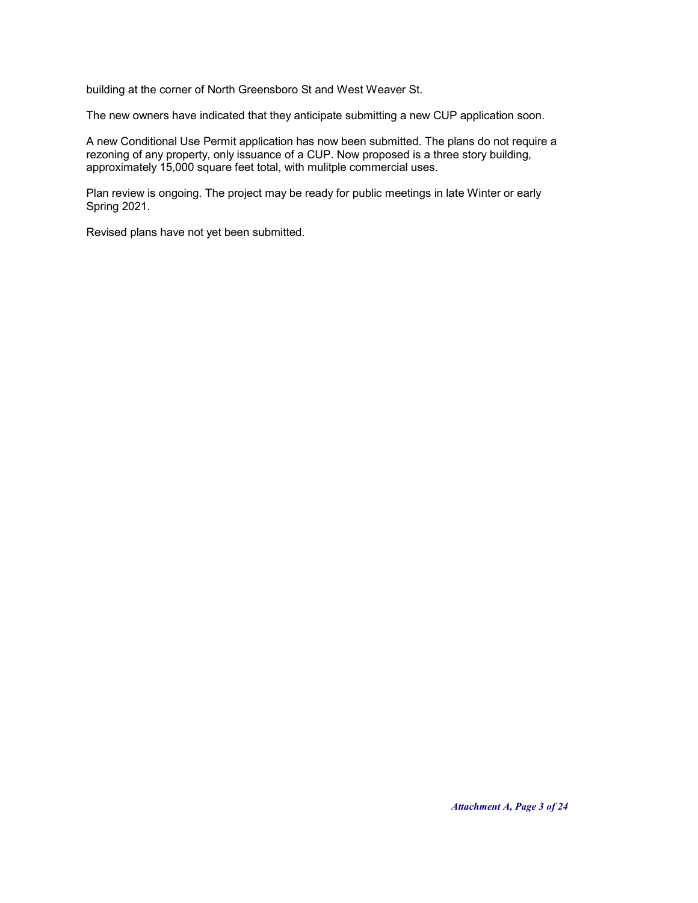building at the corner of North Greensboro St and West Weaver St.

The new owners have indicated that they anticipate submitting a new CUP application soon.

A new Conditional Use Permit application has now been submitted. The plans do not require a rezoning of any property, only issuance of a CUP. Now proposed is a three story building, approximately 15,000 square feet total, with mulitple commercial uses.

Plan review is ongoing. The project may be ready for public meetings in late Winter or early Spring 2021.

Revised plans have not yet been submitted.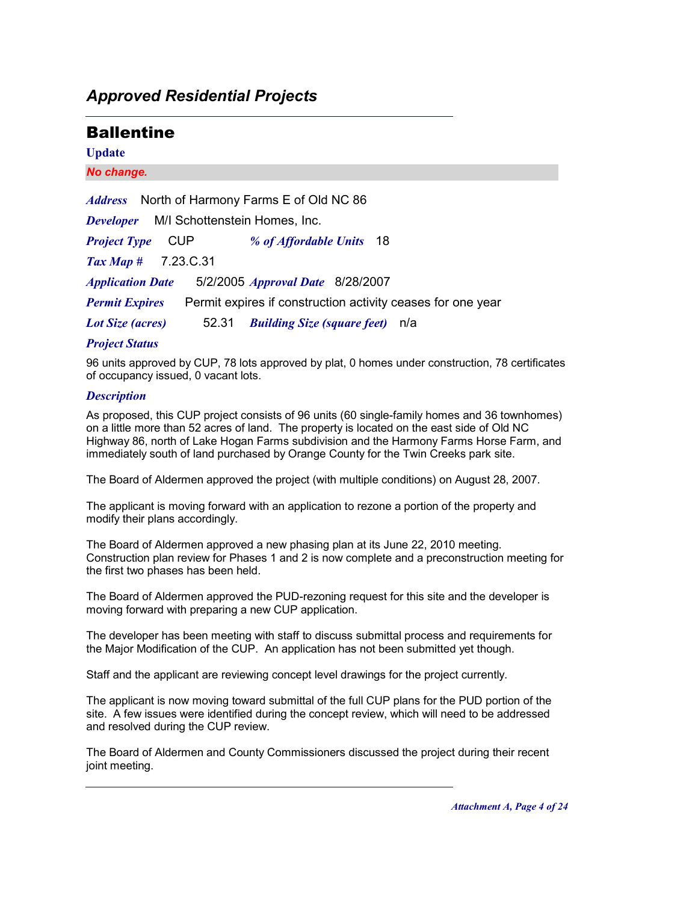### *Approved Residential Projects*

### **Ballentine**

#### **Update**

*No change.*

A*ddress* North of Harmony Farms E of Old NC 86 *Developer* M/I Schottenstein Homes, Inc. *Application Date Tax Map #* 7.23.C.31 *Lot Size (acres) Approval Date* 8/28/2007 *Project Type* CUP *% of Affordable Units* 18 *Building Size (square feet)* n/a *Permit Expires* Permit expires if construction activity ceases for one year

### *Project Status*

96 units approved by CUP, 78 lots approved by plat, 0 homes under construction, 78 certificates of occupancy issued, 0 vacant lots.

### *Description*

As proposed, this CUP project consists of 96 units (60 single-family homes and 36 townhomes) on a little more than 52 acres of land. The property is located on the east side of Old NC Highway 86, north of Lake Hogan Farms subdivision and the Harmony Farms Horse Farm, and immediately south of land purchased by Orange County for the Twin Creeks park site.

The Board of Aldermen approved the project (with multiple conditions) on August 28, 2007.

The applicant is moving forward with an application to rezone a portion of the property and modify their plans accordingly.

The Board of Aldermen approved a new phasing plan at its June 22, 2010 meeting. Construction plan review for Phases 1 and 2 is now complete and a preconstruction meeting for the first two phases has been held.

The Board of Aldermen approved the PUD-rezoning request for this site and the developer is moving forward with preparing a new CUP application.

The developer has been meeting with staff to discuss submittal process and requirements for the Major Modification of the CUP. An application has not been submitted yet though.

Staff and the applicant are reviewing concept level drawings for the project currently.

The applicant is now moving toward submittal of the full CUP plans for the PUD portion of the site. A few issues were identified during the concept review, which will need to be addressed and resolved during the CUP review.

The Board of Aldermen and County Commissioners discussed the project during their recent joint meeting.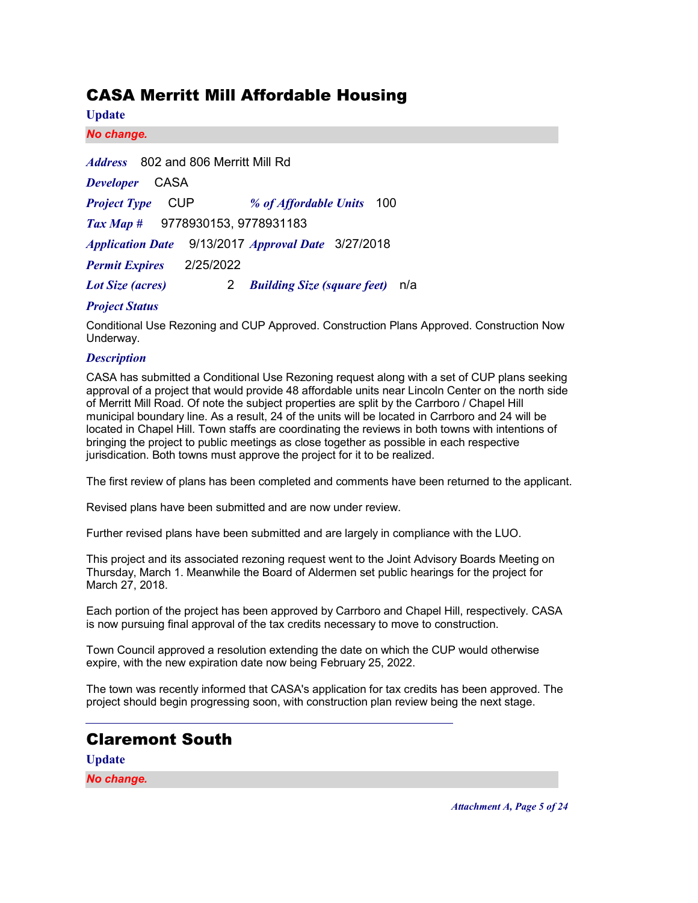### CASA Merritt Mill Affordable Housing

**Update**

*No change.*

802 and 806 Merritt Mill Rd *Address Developer* CASA *Application Date Tax Map #* 9778930153, 9778931183 *Lot Size (acres)* 2 *Approval Date* 3/27/2018 *Project Type* CUP *% of Affordable Units* 100 *Building Size (square feet)* n/a *Permit Expires* 2/25/2022

#### *Project Status*

Conditional Use Rezoning and CUP Approved. Construction Plans Approved. Construction Now Underway.

#### *Description*

CASA has submitted a Conditional Use Rezoning request along with a set of CUP plans seeking approval of a project that would provide 48 affordable units near Lincoln Center on the north side of Merritt Mill Road. Of note the subject properties are split by the Carrboro / Chapel Hill municipal boundary line. As a result, 24 of the units will be located in Carrboro and 24 will be located in Chapel Hill. Town staffs are coordinating the reviews in both towns with intentions of bringing the project to public meetings as close together as possible in each respective jurisdication. Both towns must approve the project for it to be realized.

The first review of plans has been completed and comments have been returned to the applicant.

Revised plans have been submitted and are now under review.

Further revised plans have been submitted and are largely in compliance with the LUO.

This project and its associated rezoning request went to the Joint Advisory Boards Meeting on Thursday, March 1. Meanwhile the Board of Aldermen set public hearings for the project for March 27, 2018.

Each portion of the project has been approved by Carrboro and Chapel Hill, respectively. CASA is now pursuing final approval of the tax credits necessary to move to construction.

Town Council approved a resolution extending the date on which the CUP would otherwise expire, with the new expiration date now being February 25, 2022.

The town was recently informed that CASA's application for tax credits has been approved. The project should begin progressing soon, with construction plan review being the next stage.

## Claremont South

**Update** *No change.*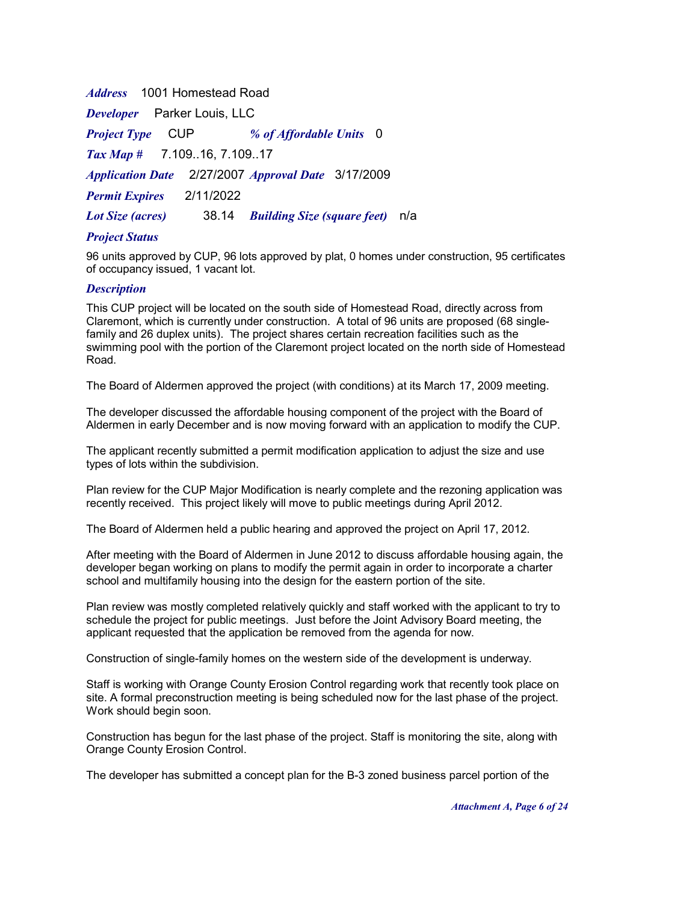1001 Homestead Road *Address*

*Developer* Parker Louis, LLC

*Project Type* CUP *% of Affordable Units* 0

*Tax Map #* 7.109..16, 7.109..17

*Application Date* 2/27/2007 *Approval Date* 3/17/2009

*Permit Expires* 2/11/2022

*Lot Size (acres) Building Size (square feet)* n/a

#### *Project Status*

96 units approved by CUP, 96 lots approved by plat, 0 homes under construction, 95 certificates of occupancy issued, 1 vacant lot.

#### *Description*

This CUP project will be located on the south side of Homestead Road, directly across from Claremont, which is currently under construction. A total of 96 units are proposed (68 singlefamily and 26 duplex units). The project shares certain recreation facilities such as the swimming pool with the portion of the Claremont project located on the north side of Homestead Road.

The Board of Aldermen approved the project (with conditions) at its March 17, 2009 meeting.

The developer discussed the affordable housing component of the project with the Board of Aldermen in early December and is now moving forward with an application to modify the CUP.

The applicant recently submitted a permit modification application to adjust the size and use types of lots within the subdivision.

Plan review for the CUP Major Modification is nearly complete and the rezoning application was recently received. This project likely will move to public meetings during April 2012.

The Board of Aldermen held a public hearing and approved the project on April 17, 2012.

After meeting with the Board of Aldermen in June 2012 to discuss affordable housing again, the developer began working on plans to modify the permit again in order to incorporate a charter school and multifamily housing into the design for the eastern portion of the site.

Plan review was mostly completed relatively quickly and staff worked with the applicant to try to schedule the project for public meetings. Just before the Joint Advisory Board meeting, the applicant requested that the application be removed from the agenda for now.

Construction of single-family homes on the western side of the development is underway.

Staff is working with Orange County Erosion Control regarding work that recently took place on site. A formal preconstruction meeting is being scheduled now for the last phase of the project. Work should begin soon.

Construction has begun for the last phase of the project. Staff is monitoring the site, along with Orange County Erosion Control.

The developer has submitted a concept plan for the B-3 zoned business parcel portion of the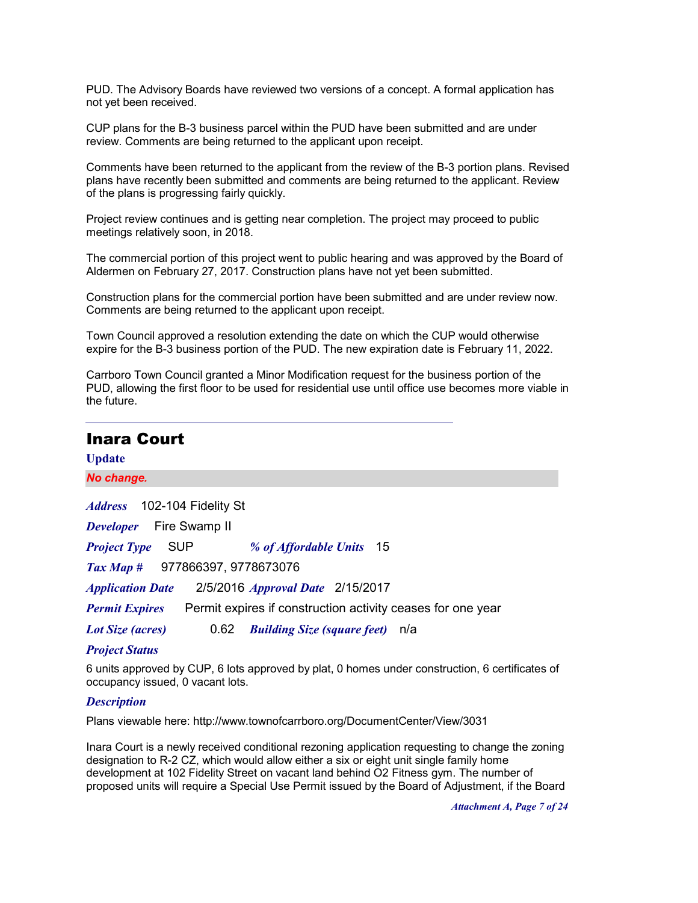PUD. The Advisory Boards have reviewed two versions of a concept. A formal application has not yet been received.

CUP plans for the B-3 business parcel within the PUD have been submitted and are under review. Comments are being returned to the applicant upon receipt.

Comments have been returned to the applicant from the review of the B-3 portion plans. Revised plans have recently been submitted and comments are being returned to the applicant. Review of the plans is progressing fairly quickly.

Project review continues and is getting near completion. The project may proceed to public meetings relatively soon, in 2018.

The commercial portion of this project went to public hearing and was approved by the Board of Aldermen on February 27, 2017. Construction plans have not yet been submitted.

Construction plans for the commercial portion have been submitted and are under review now. Comments are being returned to the applicant upon receipt.

Town Council approved a resolution extending the date on which the CUP would otherwise expire for the B-3 business portion of the PUD. The new expiration date is February 11, 2022.

Carrboro Town Council granted a Minor Modification request for the business portion of the PUD, allowing the first floor to be used for residential use until office use becomes more viable in the future.

| <b>Inara Court</b>                                                                     |
|----------------------------------------------------------------------------------------|
| <b>Update</b>                                                                          |
| No change.                                                                             |
| <i>Address</i> 102-104 Fidelity St<br>Developer Fire Swamp II                          |
| <b>Project Type</b> SUP<br>% of Affordable Units 15<br>Tax Map # 977866397, 9778673076 |
| 2/5/2016 Approval Date 2/15/2017<br><b>Application Date</b>                            |
| Permit expires if construction activity ceases for one year<br><b>Permit Expires</b>   |
| <b>Lot Size (acres)</b><br>0.62 Building Size (square feet)<br>n/a                     |
|                                                                                        |

#### *Project Status*

6 units approved by CUP, 6 lots approved by plat, 0 homes under construction, 6 certificates of occupancy issued, 0 vacant lots.

#### *Description*

Plans viewable here: http://www.townofcarrboro.org/DocumentCenter/View/3031

Inara Court is a newly received conditional rezoning application requesting to change the zoning designation to R-2 CZ, which would allow either a six or eight unit single family home development at 102 Fidelity Street on vacant land behind O2 Fitness gym. The number of proposed units will require a Special Use Permit issued by the Board of Adjustment, if the Board

*Attachment A, Page 7 of 24*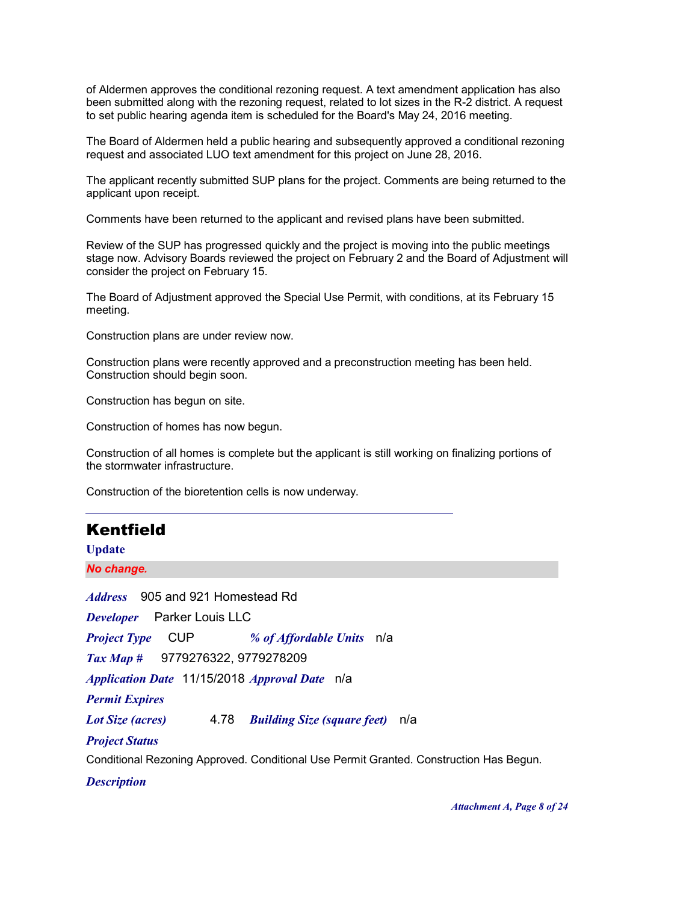of Aldermen approves the conditional rezoning request. A text amendment application has also been submitted along with the rezoning request, related to lot sizes in the R-2 district. A request to set public hearing agenda item is scheduled for the Board's May 24, 2016 meeting.

The Board of Aldermen held a public hearing and subsequently approved a conditional rezoning request and associated LUO text amendment for this project on June 28, 2016.

The applicant recently submitted SUP plans for the project. Comments are being returned to the applicant upon receipt.

Comments have been returned to the applicant and revised plans have been submitted.

Review of the SUP has progressed quickly and the project is moving into the public meetings stage now. Advisory Boards reviewed the project on February 2 and the Board of Adjustment will consider the project on February 15.

The Board of Adjustment approved the Special Use Permit, with conditions, at its February 15 meeting.

Construction plans are under review now.

Construction plans were recently approved and a preconstruction meeting has been held. Construction should begin soon.

Construction has begun on site.

Construction of homes has now begun.

Construction of all homes is complete but the applicant is still working on finalizing portions of the stormwater infrastructure.

Construction of the bioretention cells is now underway.

### Kentfield

905 and 921 Homestead Rd *Address Developer* Parker Louis LLC *Application Date* 11/15/2018 *Approval Date* n/a *Tax Map #* 9779276322, 9779278209 *Lot Size (acres)* **Update** *No change. Project Status* Conditional Rezoning Approved. Conditional Use Permit Granted. Construction Has Begun. *Project Type* CUP *% of Affordable Units* n/a *Building Size (square feet)* n/a *Permit Expires*

*Description*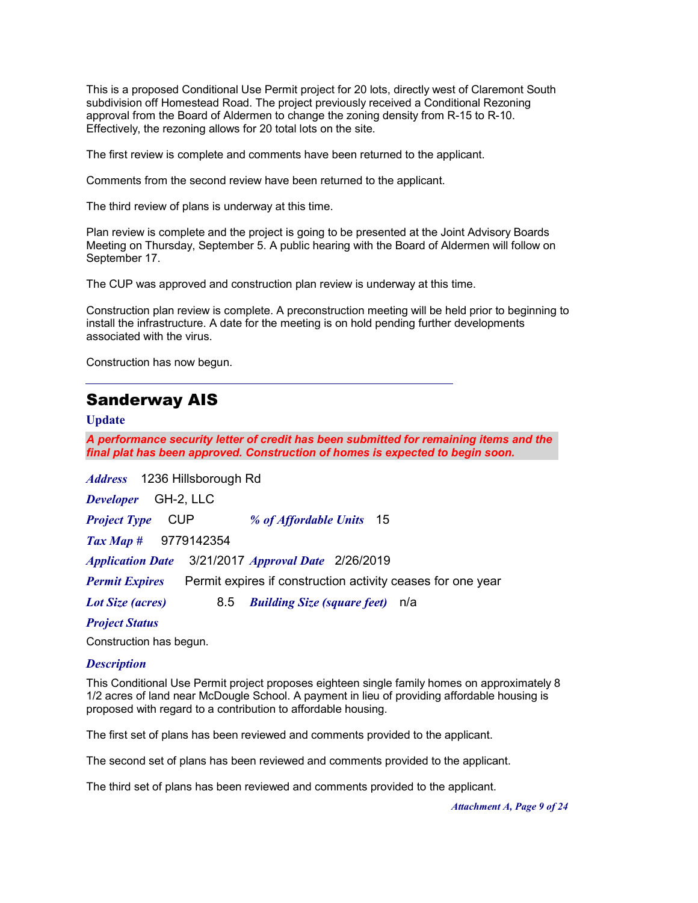This is a proposed Conditional Use Permit project for 20 lots, directly west of Claremont South subdivision off Homestead Road. The project previously received a Conditional Rezoning approval from the Board of Aldermen to change the zoning density from R-15 to R-10. Effectively, the rezoning allows for 20 total lots on the site.

The first review is complete and comments have been returned to the applicant.

Comments from the second review have been returned to the applicant.

The third review of plans is underway at this time.

Plan review is complete and the project is going to be presented at the Joint Advisory Boards Meeting on Thursday, September 5. A public hearing with the Board of Aldermen will follow on September 17.

The CUP was approved and construction plan review is underway at this time.

Construction plan review is complete. A preconstruction meeting will be held prior to beginning to install the infrastructure. A date for the meeting is on hold pending further developments associated with the virus.

Construction has now begun.

### Sanderway AIS

#### **Update**

*A performance security letter of credit has been submitted for remaining items and the final plat has been approved. Construction of homes is expected to begin soon.*

1236 Hillsborough Rd *Address*

*Developer* GH-2, LLC

*Project Type* CUP *% of Affordable Units* 15

*Tax Map #* 9779142354

*Application Date* 3/21/2017 *Approval Date* 2/26/2019

*Permit Expires* Permit expires if construction activity ceases for one year

*Lot Size (acres) Building Size (square feet)* n/a

#### *Project Status*

Construction has begun.

#### *Description*

This Conditional Use Permit project proposes eighteen single family homes on approximately 8 1/2 acres of land near McDougle School. A payment in lieu of providing affordable housing is proposed with regard to a contribution to affordable housing.

The first set of plans has been reviewed and comments provided to the applicant.

The second set of plans has been reviewed and comments provided to the applicant.

The third set of plans has been reviewed and comments provided to the applicant.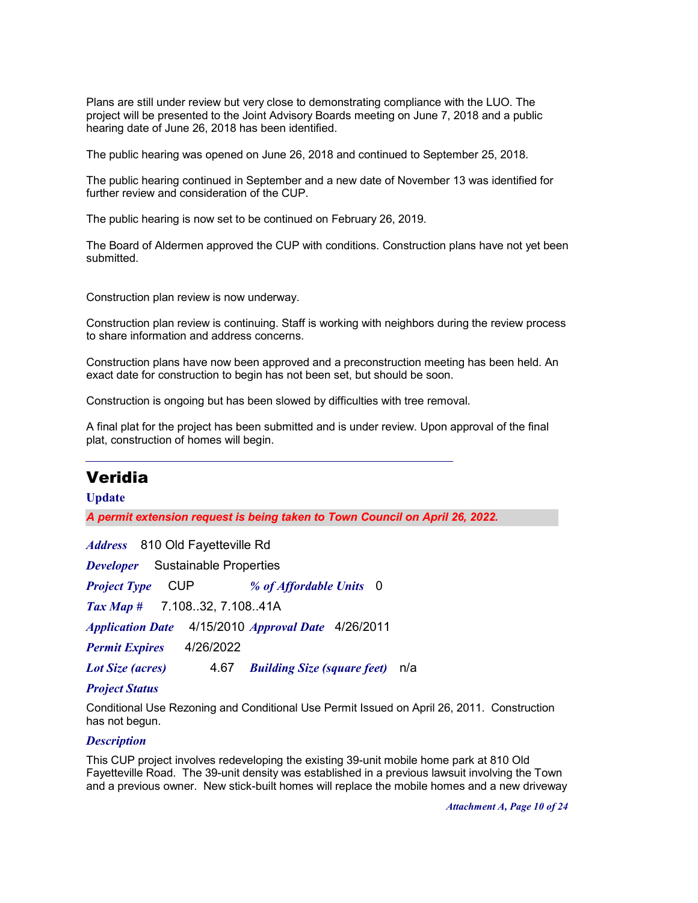Plans are still under review but very close to demonstrating compliance with the LUO. The project will be presented to the Joint Advisory Boards meeting on June 7, 2018 and a public hearing date of June 26, 2018 has been identified.

The public hearing was opened on June 26, 2018 and continued to September 25, 2018.

The public hearing continued in September and a new date of November 13 was identified for further review and consideration of the CUP.

The public hearing is now set to be continued on February 26, 2019.

The Board of Aldermen approved the CUP with conditions. Construction plans have not yet been submitted.

Construction plan review is now underway.

Construction plan review is continuing. Staff is working with neighbors during the review process to share information and address concerns.

Construction plans have now been approved and a preconstruction meeting has been held. An exact date for construction to begin has not been set, but should be soon.

Construction is ongoing but has been slowed by difficulties with tree removal.

A final plat for the project has been submitted and is under review. Upon approval of the final plat, construction of homes will begin.

### Veridia

#### **Update**

*A permit extension request is being taken to Town Council on April 26, 2022.*

810 Old Fayetteville Rd *Address*

*Developer* Sustainable Properties

*Project Type* CUP *% of Affordable Units* 0

*Tax Map #* 7.108..32, 7.108..41A

*Application Date* 4/15/2010 *Approval Date* 4/26/2011

*Permit Expires* 4/26/2022

*Lot Size (acres) Building Size (square feet)* n/a

#### *Project Status*

Conditional Use Rezoning and Conditional Use Permit Issued on April 26, 2011. Construction has not begun.

#### *Description*

This CUP project involves redeveloping the existing 39-unit mobile home park at 810 Old Fayetteville Road. The 39-unit density was established in a previous lawsuit involving the Town and a previous owner. New stick-built homes will replace the mobile homes and a new driveway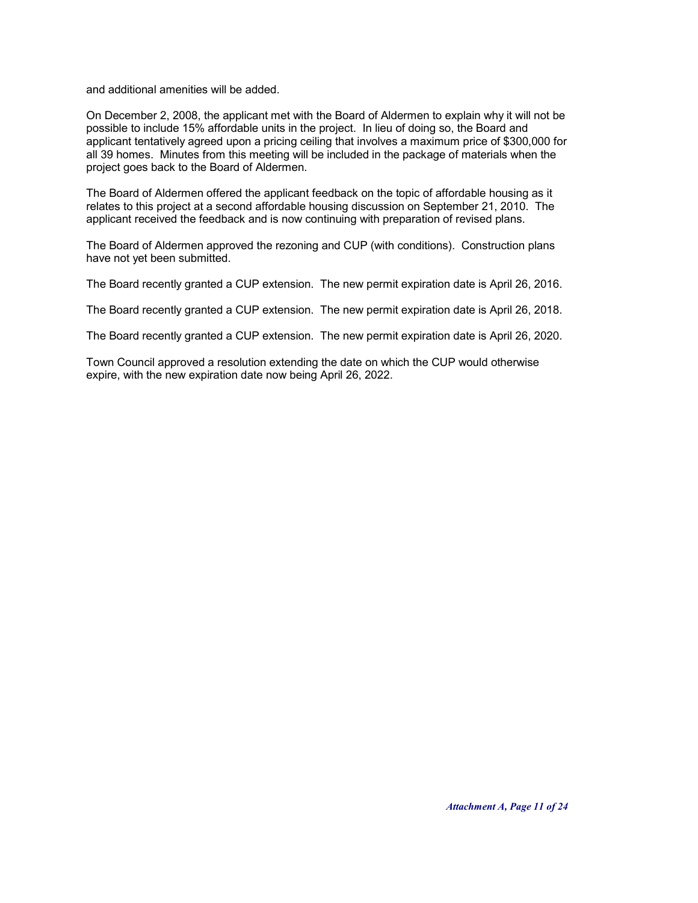and additional amenities will be added.

On December 2, 2008, the applicant met with the Board of Aldermen to explain why it will not be possible to include 15% affordable units in the project. In lieu of doing so, the Board and applicant tentatively agreed upon a pricing ceiling that involves a maximum price of \$300,000 for all 39 homes. Minutes from this meeting will be included in the package of materials when the project goes back to the Board of Aldermen.

The Board of Aldermen offered the applicant feedback on the topic of affordable housing as it relates to this project at a second affordable housing discussion on September 21, 2010. The applicant received the feedback and is now continuing with preparation of revised plans.

The Board of Aldermen approved the rezoning and CUP (with conditions). Construction plans have not yet been submitted.

The Board recently granted a CUP extension. The new permit expiration date is April 26, 2016.

The Board recently granted a CUP extension. The new permit expiration date is April 26, 2018.

The Board recently granted a CUP extension. The new permit expiration date is April 26, 2020.

Town Council approved a resolution extending the date on which the CUP would otherwise expire, with the new expiration date now being April 26, 2022.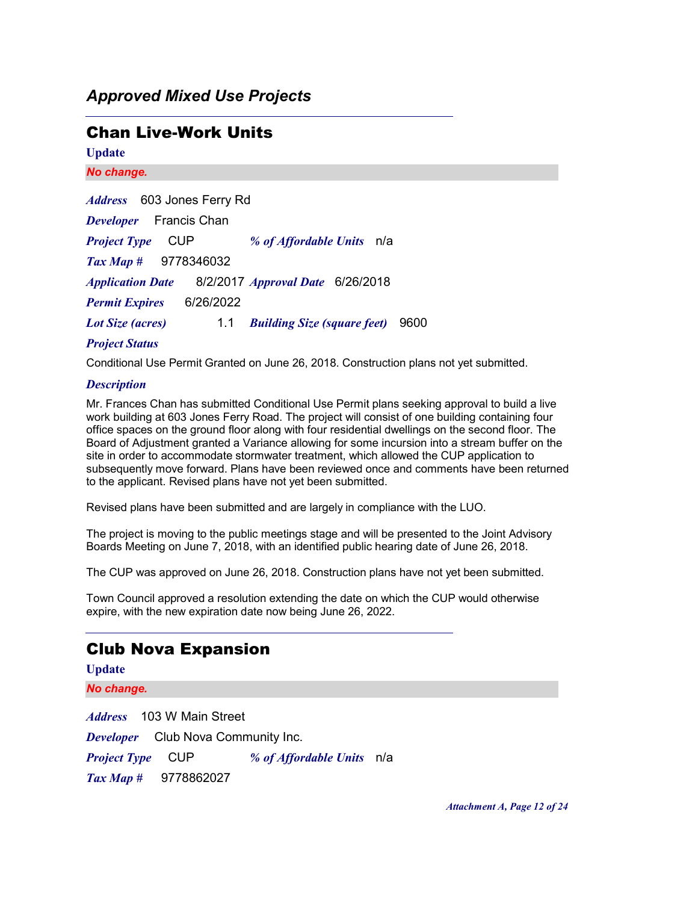### *Approved Mixed Use Projects*

### Chan Live-Work Units

| <b>Update</b>                                                                |
|------------------------------------------------------------------------------|
| No change.                                                                   |
| 603 Jones Ferry Rd<br><i><b>Address</b></i>                                  |
| <b>Developer</b> Francis Chan                                                |
| <b>Project Type</b><br>% of Affordable Units n/a<br>- CUP                    |
| $\textit{Tax Map} \# \quad 9778346032$                                       |
| Application Date 8/2/2017 Approval Date 6/26/2018                            |
| 6/26/2022<br><b>Permit Expires</b>                                           |
| 1.1<br><b>Building Size (square feet)</b><br>9600<br><b>Lot Size (acres)</b> |
| $\mathbf{r}$ . $\mathbf{r}$                                                  |

#### *Project Status*

Conditional Use Permit Granted on June 26, 2018. Construction plans not yet submitted.

#### *Description*

Mr. Frances Chan has submitted Conditional Use Permit plans seeking approval to build a live work building at 603 Jones Ferry Road. The project will consist of one building containing four office spaces on the ground floor along with four residential dwellings on the second floor. The Board of Adjustment granted a Variance allowing for some incursion into a stream buffer on the site in order to accommodate stormwater treatment, which allowed the CUP application to subsequently move forward. Plans have been reviewed once and comments have been returned to the applicant. Revised plans have not yet been submitted.

Revised plans have been submitted and are largely in compliance with the LUO.

The project is moving to the public meetings stage and will be presented to the Joint Advisory Boards Meeting on June 7, 2018, with an identified public hearing date of June 26, 2018.

The CUP was approved on June 26, 2018. Construction plans have not yet been submitted.

Town Council approved a resolution extending the date on which the CUP would otherwise expire, with the new expiration date now being June 26, 2022.

### Club Nova Expansion

**Update**

*No change.*

103 W Main Street *Address Developer* Club Nova Community Inc. *Tax Map #* 9778862027 *Project Type* CUP *% of Affordable Units* n/a

*Attachment A, Page 12 of 24*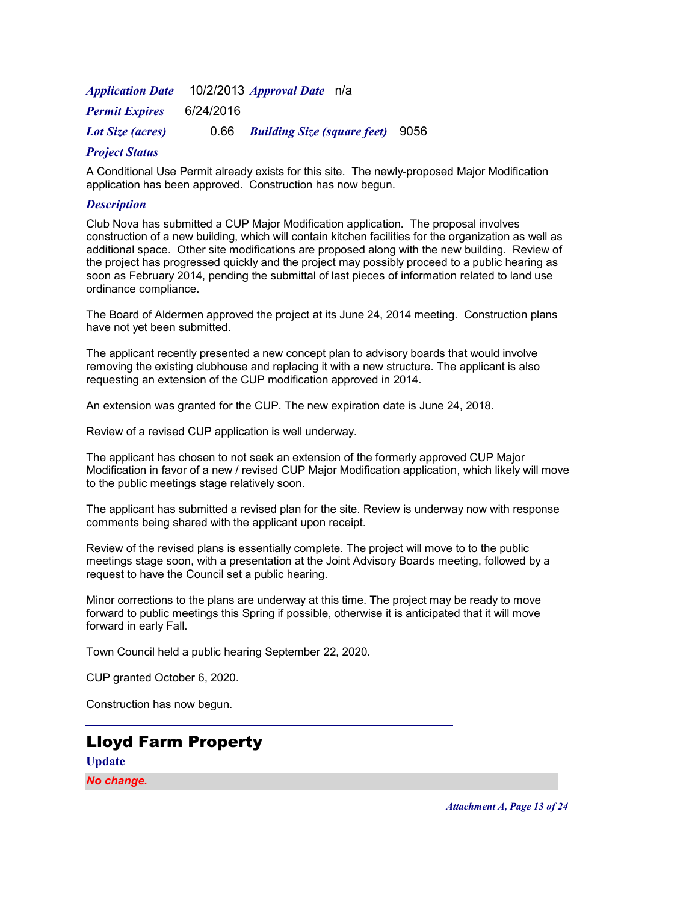|                         |           | <i>Application Date</i> 10/2/2013 <i>Approval Date</i> n/a |        |
|-------------------------|-----------|------------------------------------------------------------|--------|
| <b>Permit Expires</b>   | 6/24/2016 |                                                            |        |
| <b>Lot Size (acres)</b> |           | 0.66 Building Size (square feet)                           | - 9056 |

A Conditional Use Permit already exists for this site. The newly-proposed Major Modification application has been approved. Construction has now begun.

#### *Description*

Club Nova has submitted a CUP Major Modification application. The proposal involves construction of a new building, which will contain kitchen facilities for the organization as well as additional space. Other site modifications are proposed along with the new building. Review of the project has progressed quickly and the project may possibly proceed to a public hearing as soon as February 2014, pending the submittal of last pieces of information related to land use ordinance compliance.

The Board of Aldermen approved the project at its June 24, 2014 meeting. Construction plans have not yet been submitted.

The applicant recently presented a new concept plan to advisory boards that would involve removing the existing clubhouse and replacing it with a new structure. The applicant is also requesting an extension of the CUP modification approved in 2014.

An extension was granted for the CUP. The new expiration date is June 24, 2018.

Review of a revised CUP application is well underway.

The applicant has chosen to not seek an extension of the formerly approved CUP Major Modification in favor of a new / revised CUP Major Modification application, which likely will move to the public meetings stage relatively soon.

The applicant has submitted a revised plan for the site. Review is underway now with response comments being shared with the applicant upon receipt.

Review of the revised plans is essentially complete. The project will move to to the public meetings stage soon, with a presentation at the Joint Advisory Boards meeting, followed by a request to have the Council set a public hearing.

Minor corrections to the plans are underway at this time. The project may be ready to move forward to public meetings this Spring if possible, otherwise it is anticipated that it will move forward in early Fall.

Town Council held a public hearing September 22, 2020.

CUP granted October 6, 2020.

Construction has now begun.

### Lloyd Farm Property

**Update**

*No change.*

*Attachment A, Page 13 of 24*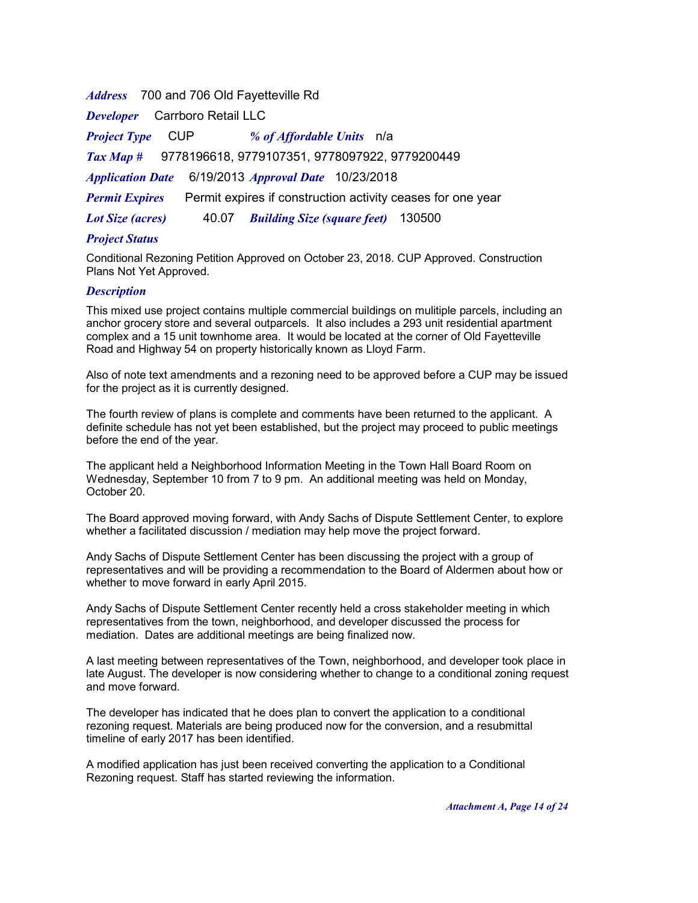#### 700 and 706 Old Fayetteville Rd *Address*

*Developer* Carrboro Retail LLC

*Project Type* CUP *% of Affordable Units* n/a

*Tax Map #* 9778196618, 9779107351, 9778097922, 9779200449

*<i>Application Date Approval Date* 10/23/2018

*Permit Expires* Permit expires if construction activity ceases for one year

*Lot Size (acres)* 40.07 *Building Size (square feet)* 130500

#### *Project Status*

Conditional Rezoning Petition Approved on October 23, 2018. CUP Approved. Construction Plans Not Yet Approved.

#### *Description*

This mixed use project contains multiple commercial buildings on mulitiple parcels, including an anchor grocery store and several outparcels. It also includes a 293 unit residential apartment complex and a 15 unit townhome area. It would be located at the corner of Old Fayetteville Road and Highway 54 on property historically known as Lloyd Farm.

Also of note text amendments and a rezoning need to be approved before a CUP may be issued for the project as it is currently designed.

The fourth review of plans is complete and comments have been returned to the applicant. A definite schedule has not yet been established, but the project may proceed to public meetings before the end of the year.

The applicant held a Neighborhood Information Meeting in the Town Hall Board Room on Wednesday, September 10 from 7 to 9 pm. An additional meeting was held on Monday, October 20.

The Board approved moving forward, with Andy Sachs of Dispute Settlement Center, to explore whether a facilitated discussion / mediation may help move the project forward.

Andy Sachs of Dispute Settlement Center has been discussing the project with a group of representatives and will be providing a recommendation to the Board of Aldermen about how or whether to move forward in early April 2015.

Andy Sachs of Dispute Settlement Center recently held a cross stakeholder meeting in which representatives from the town, neighborhood, and developer discussed the process for mediation. Dates are additional meetings are being finalized now.

A last meeting between representatives of the Town, neighborhood, and developer took place in late August. The developer is now considering whether to change to a conditional zoning request and move forward.

The developer has indicated that he does plan to convert the application to a conditional rezoning request. Materials are being produced now for the conversion, and a resubmittal timeline of early 2017 has been identified.

A modified application has just been received converting the application to a Conditional Rezoning request. Staff has started reviewing the information.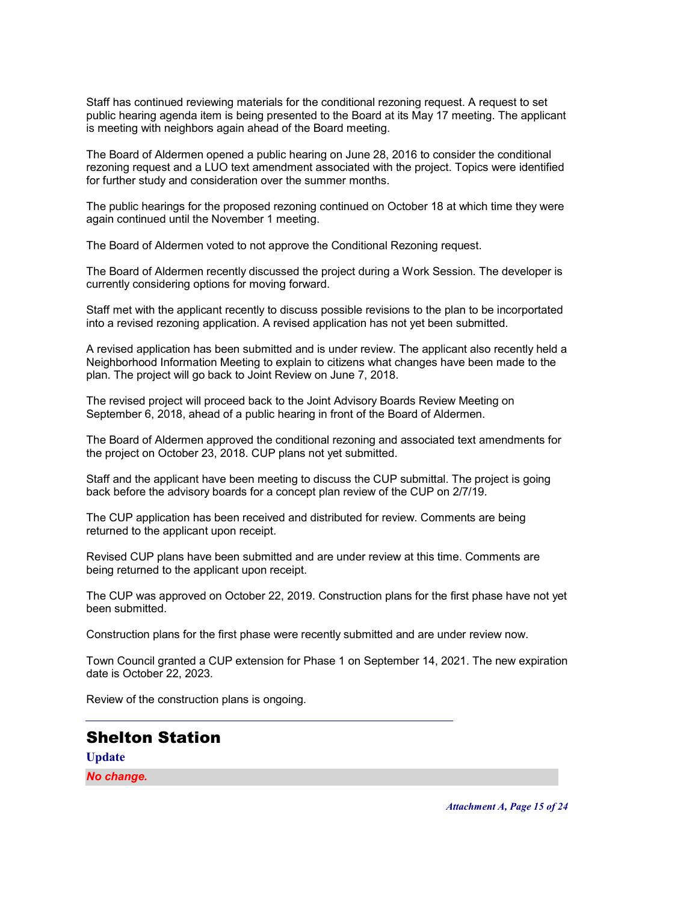Staff has continued reviewing materials for the conditional rezoning request. A request to set public hearing agenda item is being presented to the Board at its May 17 meeting. The applicant is meeting with neighbors again ahead of the Board meeting.

The Board of Aldermen opened a public hearing on June 28, 2016 to consider the conditional rezoning request and a LUO text amendment associated with the project. Topics were identified for further study and consideration over the summer months.

The public hearings for the proposed rezoning continued on October 18 at which time they were again continued until the November 1 meeting.

The Board of Aldermen voted to not approve the Conditional Rezoning request.

The Board of Aldermen recently discussed the project during a Work Session. The developer is currently considering options for moving forward.

Staff met with the applicant recently to discuss possible revisions to the plan to be incorportated into a revised rezoning application. A revised application has not yet been submitted.

A revised application has been submitted and is under review. The applicant also recently held a Neighborhood Information Meeting to explain to citizens what changes have been made to the plan. The project will go back to Joint Review on June 7, 2018.

The revised project will proceed back to the Joint Advisory Boards Review Meeting on September 6, 2018, ahead of a public hearing in front of the Board of Aldermen.

The Board of Aldermen approved the conditional rezoning and associated text amendments for the project on October 23, 2018. CUP plans not yet submitted.

Staff and the applicant have been meeting to discuss the CUP submittal. The project is going back before the advisory boards for a concept plan review of the CUP on 2/7/19.

The CUP application has been received and distributed for review. Comments are being returned to the applicant upon receipt.

Revised CUP plans have been submitted and are under review at this time. Comments are being returned to the applicant upon receipt.

The CUP was approved on October 22, 2019. Construction plans for the first phase have not yet been submitted.

Construction plans for the first phase were recently submitted and are under review now.

Town Council granted a CUP extension for Phase 1 on September 14, 2021. The new expiration date is October 22, 2023.

Review of the construction plans is ongoing.

### Shelton Station

**Update**

*No change.*

*Attachment A, Page 15 of 24*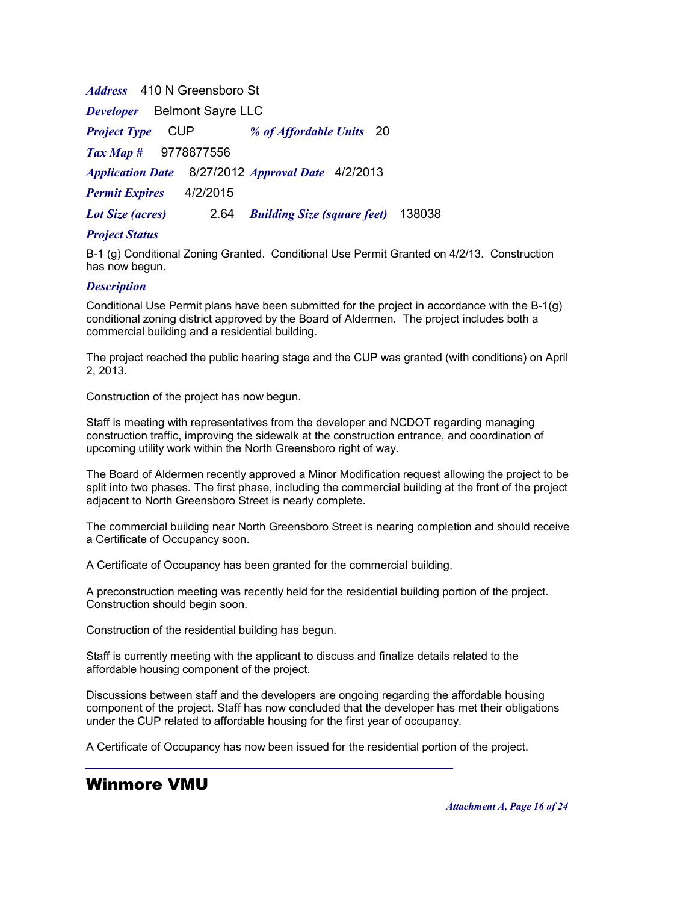410 N Greensboro St *Address Developer* Belmont Sayre LLC *Application Date* 8/27/2012 *Approval Date* 4/2/2013 *Tax Map #* 9778877556 *Lot Size (acres) Project Type* CUP *% of Affordable Units* 20 *Building Size (square feet)* 138038 *Permit Expires* 4/2/2015

#### *Project Status*

B-1 (g) Conditional Zoning Granted. Conditional Use Permit Granted on 4/2/13. Construction has now begun.

#### *Description*

Conditional Use Permit plans have been submitted for the project in accordance with the B-1(g) conditional zoning district approved by the Board of Aldermen. The project includes both a commercial building and a residential building.

The project reached the public hearing stage and the CUP was granted (with conditions) on April 2, 2013.

Construction of the project has now begun.

Staff is meeting with representatives from the developer and NCDOT regarding managing construction traffic, improving the sidewalk at the construction entrance, and coordination of upcoming utility work within the North Greensboro right of way.

The Board of Aldermen recently approved a Minor Modification request allowing the project to be split into two phases. The first phase, including the commercial building at the front of the project adjacent to North Greensboro Street is nearly complete.

The commercial building near North Greensboro Street is nearing completion and should receive a Certificate of Occupancy soon.

A Certificate of Occupancy has been granted for the commercial building.

A preconstruction meeting was recently held for the residential building portion of the project. Construction should begin soon.

Construction of the residential building has begun.

Staff is currently meeting with the applicant to discuss and finalize details related to the affordable housing component of the project.

Discussions between staff and the developers are ongoing regarding the affordable housing component of the project. Staff has now concluded that the developer has met their obligations under the CUP related to affordable housing for the first year of occupancy.

A Certificate of Occupancy has now been issued for the residential portion of the project.

### Winmore VMU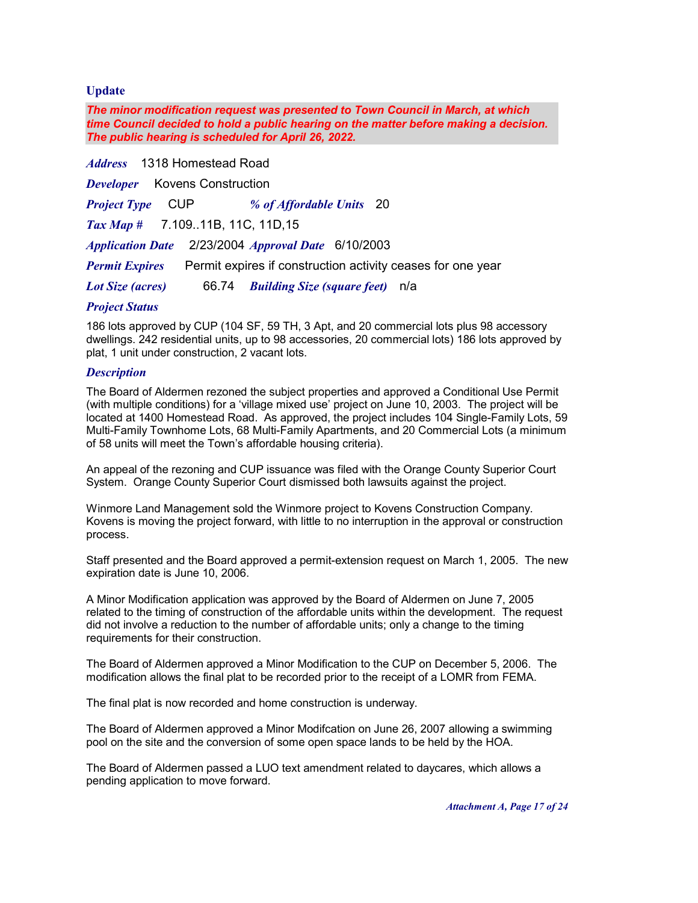**Update**

*The minor modification request was presented to Town Council in March, at which time Council decided to hold a public hearing on the matter before making a decision. The public hearing is scheduled for April 26, 2022.*

1318 Homestead Road *Address*

*Developer* Kovens Construction *Application Date* 2/23/2004 *Approval Date* 6/10/2003 *Tax Map #* 7.109..11B, 11C, 11D,15 *Lot Size (acres) Project Type* CUP *% of Affordable Units* 20 *Building Size (square feet)* n/a *Permit Expires* Permit expires if construction activity ceases for one year

#### *Project Status*

186 lots approved by CUP (104 SF, 59 TH, 3 Apt, and 20 commercial lots plus 98 accessory dwellings. 242 residential units, up to 98 accessories, 20 commercial lots) 186 lots approved by plat, 1 unit under construction, 2 vacant lots.

#### *Description*

The Board of Aldermen rezoned the subject properties and approved a Conditional Use Permit (with multiple conditions) for a 'village mixed use' project on June 10, 2003. The project will be located at 1400 Homestead Road. As approved, the project includes 104 Single-Family Lots, 59 Multi-Family Townhome Lots, 68 Multi-Family Apartments, and 20 Commercial Lots (a minimum of 58 units will meet the Town's affordable housing criteria).

An appeal of the rezoning and CUP issuance was filed with the Orange County Superior Court System. Orange County Superior Court dismissed both lawsuits against the project.

Winmore Land Management sold the Winmore project to Kovens Construction Company. Kovens is moving the project forward, with little to no interruption in the approval or construction process.

Staff presented and the Board approved a permit-extension request on March 1, 2005. The new expiration date is June 10, 2006.

A Minor Modification application was approved by the Board of Aldermen on June 7, 2005 related to the timing of construction of the affordable units within the development. The request did not involve a reduction to the number of affordable units; only a change to the timing requirements for their construction.

The Board of Aldermen approved a Minor Modification to the CUP on December 5, 2006. The modification allows the final plat to be recorded prior to the receipt of a LOMR from FEMA.

The final plat is now recorded and home construction is underway.

The Board of Aldermen approved a Minor Modifcation on June 26, 2007 allowing a swimming pool on the site and the conversion of some open space lands to be held by the HOA.

The Board of Aldermen passed a LUO text amendment related to daycares, which allows a pending application to move forward.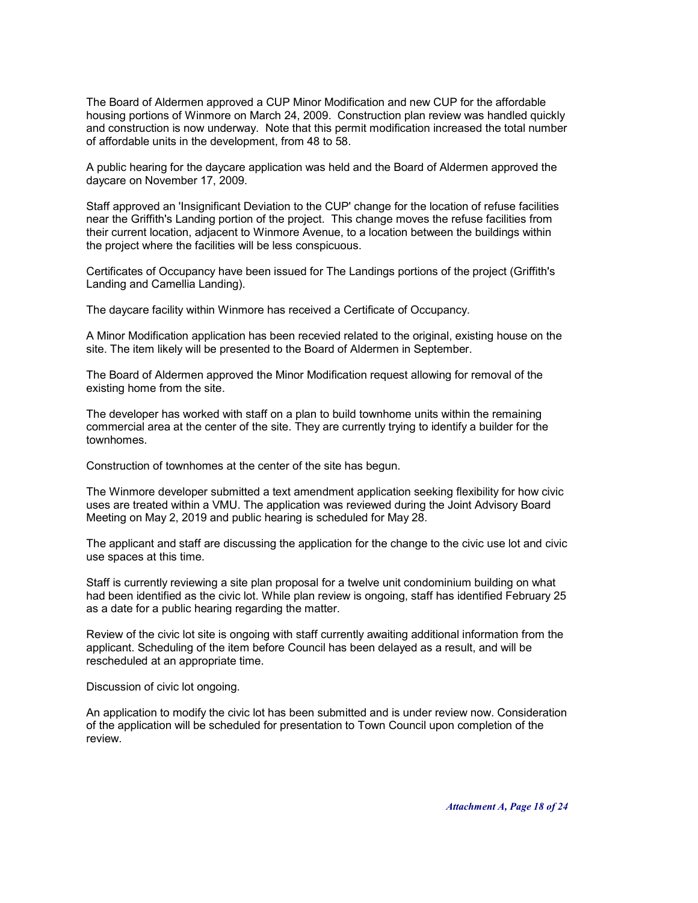The Board of Aldermen approved a CUP Minor Modification and new CUP for the affordable housing portions of Winmore on March 24, 2009. Construction plan review was handled quickly and construction is now underway. Note that this permit modification increased the total number of affordable units in the development, from 48 to 58.

A public hearing for the daycare application was held and the Board of Aldermen approved the daycare on November 17, 2009.

Staff approved an 'Insignificant Deviation to the CUP' change for the location of refuse facilities near the Griffith's Landing portion of the project. This change moves the refuse facilities from their current location, adjacent to Winmore Avenue, to a location between the buildings within the project where the facilities will be less conspicuous.

Certificates of Occupancy have been issued for The Landings portions of the project (Griffith's Landing and Camellia Landing).

The daycare facility within Winmore has received a Certificate of Occupancy.

A Minor Modification application has been recevied related to the original, existing house on the site. The item likely will be presented to the Board of Aldermen in September.

The Board of Aldermen approved the Minor Modification request allowing for removal of the existing home from the site.

The developer has worked with staff on a plan to build townhome units within the remaining commercial area at the center of the site. They are currently trying to identify a builder for the townhomes.

Construction of townhomes at the center of the site has begun.

The Winmore developer submitted a text amendment application seeking flexibility for how civic uses are treated within a VMU. The application was reviewed during the Joint Advisory Board Meeting on May 2, 2019 and public hearing is scheduled for May 28.

The applicant and staff are discussing the application for the change to the civic use lot and civic use spaces at this time.

Staff is currently reviewing a site plan proposal for a twelve unit condominium building on what had been identified as the civic lot. While plan review is ongoing, staff has identified February 25 as a date for a public hearing regarding the matter.

Review of the civic lot site is ongoing with staff currently awaiting additional information from the applicant. Scheduling of the item before Council has been delayed as a result, and will be rescheduled at an appropriate time.

Discussion of civic lot ongoing.

An application to modify the civic lot has been submitted and is under review now. Consideration of the application will be scheduled for presentation to Town Council upon completion of the review.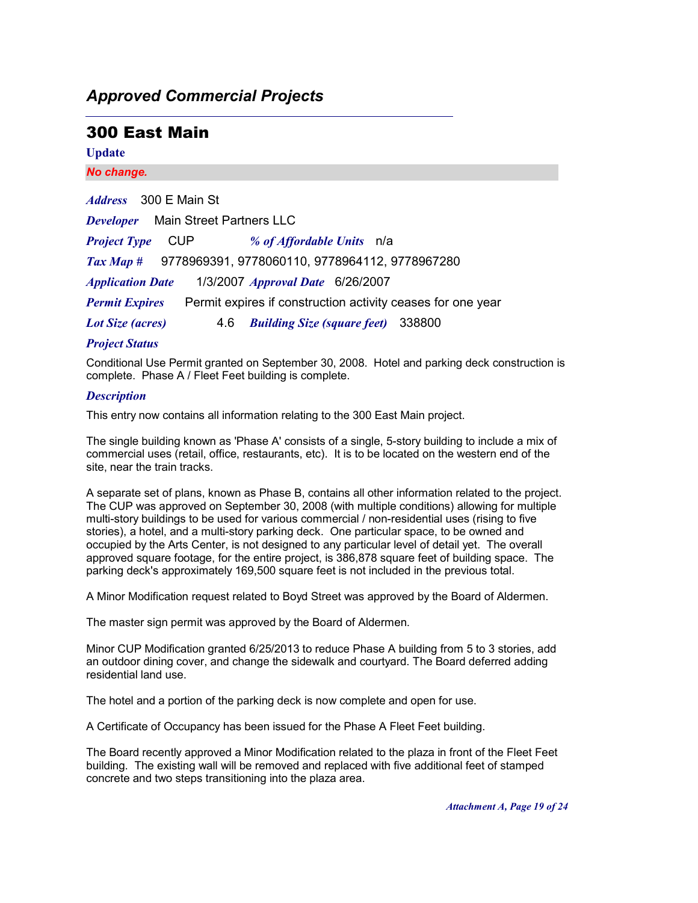### *Approved Commercial Projects*

### 300 East Main

| <b>Update</b>                                                                        |
|--------------------------------------------------------------------------------------|
| No change.                                                                           |
| <i>Address</i> 300 E Main St                                                         |
| <b>Main Street Partners LLC</b><br><b>Developer</b>                                  |
| % of <i>Affordable Units</i> n/a<br><b>Project Type</b><br><b>CUP</b>                |
| $\textit{Tax Map \#}$ 9778969391, 9778060110, 9778964112, 9778967280                 |
| 1/3/2007 <i>Approval Date</i> 6/26/2007<br><b>Application Date</b>                   |
| Permit expires if construction activity ceases for one year<br><b>Permit Expires</b> |
| <b>Building Size (square feet)</b><br>338800<br><b>Lot Size (acres)</b><br>4.6       |

#### *Project Status*

Conditional Use Permit granted on September 30, 2008. Hotel and parking deck construction is complete. Phase A / Fleet Feet building is complete.

#### *Description*

This entry now contains all information relating to the 300 East Main project.

The single building known as 'Phase A' consists of a single, 5-story building to include a mix of commercial uses (retail, office, restaurants, etc). It is to be located on the western end of the site, near the train tracks.

A separate set of plans, known as Phase B, contains all other information related to the project. The CUP was approved on September 30, 2008 (with multiple conditions) allowing for multiple multi-story buildings to be used for various commercial / non-residential uses (rising to five stories), a hotel, and a multi-story parking deck. One particular space, to be owned and occupied by the Arts Center, is not designed to any particular level of detail yet. The overall approved square footage, for the entire project, is 386,878 square feet of building space. The parking deck's approximately 169,500 square feet is not included in the previous total.

A Minor Modification request related to Boyd Street was approved by the Board of Aldermen.

The master sign permit was approved by the Board of Aldermen.

Minor CUP Modification granted 6/25/2013 to reduce Phase A building from 5 to 3 stories, add an outdoor dining cover, and change the sidewalk and courtyard. The Board deferred adding residential land use.

The hotel and a portion of the parking deck is now complete and open for use.

A Certificate of Occupancy has been issued for the Phase A Fleet Feet building.

The Board recently approved a Minor Modification related to the plaza in front of the Fleet Feet building. The existing wall will be removed and replaced with five additional feet of stamped concrete and two steps transitioning into the plaza area.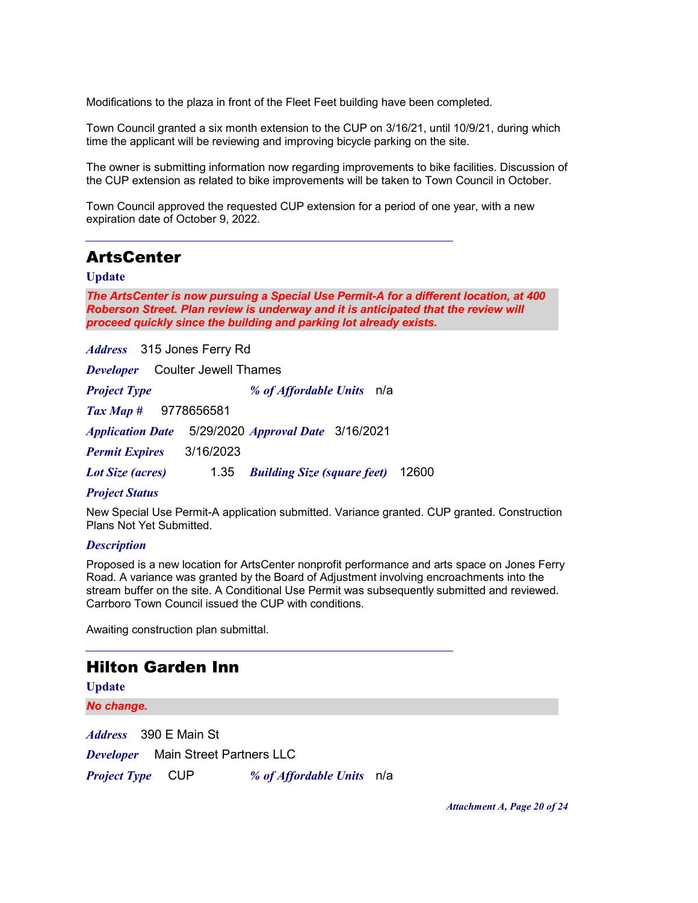Modifications to the plaza in front of the Fleet Feet building have been completed.

Town Council granted a six month extension to the CUP on 3/16/21, until 10/9/21, during which time the applicant will be reviewing and improving bicycle parking on the site.

The owner is submitting information now regarding improvements to bike facilities. Discussion of the CUP extension as related to bike improvements will be taken to Town Council in October.

Town Council approved the requested CUP extension for a period of one year, with a new expiration date of October 9, 2022.

### ArtsCenter

#### **Update**

*The ArtsCenter is now pursuing a Special Use Permit-A for a different location, at 400 Roberson Street. Plan review is underway and it is anticipated that the review will proceed quickly since the building and parking lot already exists.*

315 Jones Ferry Rd *Address*

*Developer* Coulter Jewell Thames

| <b>Project Type</b>                                              |           | % of Affordable Units n/a          |       |
|------------------------------------------------------------------|-----------|------------------------------------|-------|
| $\textit{Tax Map} \# \quad 9778656581$                           |           |                                    |       |
| <i>Application Date</i> 5/29/2020 <i>Approval Date</i> 3/16/2021 |           |                                    |       |
| <b>Permit Expires</b>                                            | 3/16/2023 |                                    |       |
| <b>Lot Size (acres)</b>                                          | 1.35      | <b>Building Size (square feet)</b> | 12600 |

#### *Project Status*

New Special Use Permit-A application submitted. Variance granted. CUP granted. Construction Plans Not Yet Submitted.

#### *Description*

Proposed is a new location for ArtsCenter nonprofit performance and arts space on Jones Ferry Road. A variance was granted by the Board of Adjustment involving encroachments into the stream buffer on the site. A Conditional Use Permit was subsequently submitted and reviewed. Carrboro Town Council issued the CUP with conditions.

Awaiting construction plan submittal.

### Hilton Garden Inn

| <b>Update</b>                             |                           |
|-------------------------------------------|---------------------------|
| No change.                                |                           |
| <i>Address</i> 390 E Main St              |                           |
| <b>Developer</b> Main Street Partners LLC |                           |
| <i>Project Type</i> CUP                   | % of Affordable Units n/a |

*Attachment A, Page 20 of 24*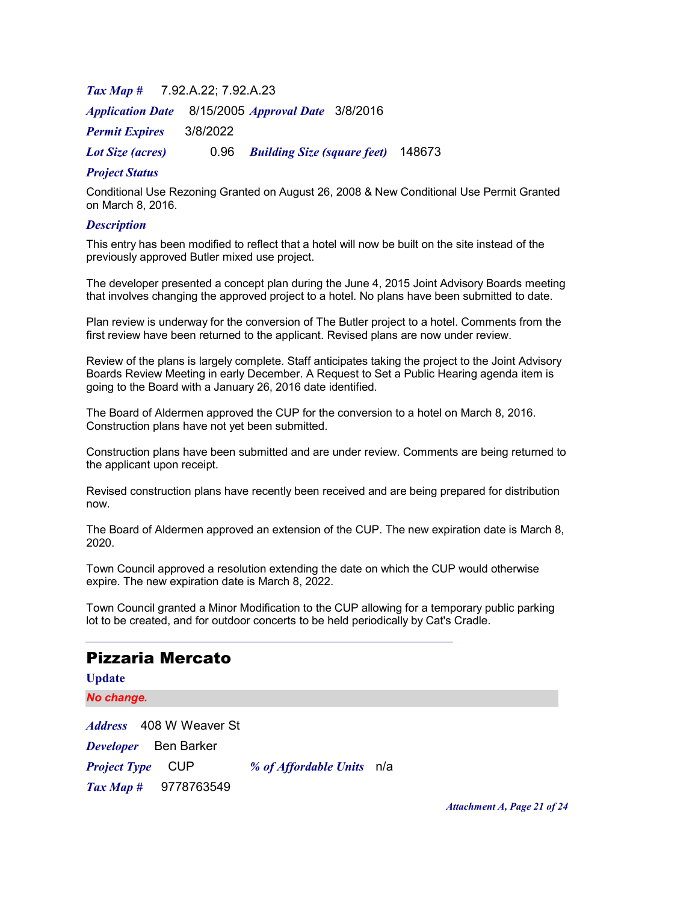| $\textit{Tax Map} \#$ 7.92.A.22; 7.92.A.23 |      |                                                                 |        |
|--------------------------------------------|------|-----------------------------------------------------------------|--------|
|                                            |      | <i>Application Date</i> 8/15/2005 <i>Approval Date</i> 3/8/2016 |        |
| <b>Permit Expires</b> 3/8/2022             |      |                                                                 |        |
| <b>Lot Size (acres)</b>                    | 0.96 | <b>Building Size (square feet)</b>                              | 148673 |

Conditional Use Rezoning Granted on August 26, 2008 & New Conditional Use Permit Granted on March 8, 2016.

#### *Description*

This entry has been modified to reflect that a hotel will now be built on the site instead of the previously approved Butler mixed use project.

The developer presented a concept plan during the June 4, 2015 Joint Advisory Boards meeting that involves changing the approved project to a hotel. No plans have been submitted to date.

Plan review is underway for the conversion of The Butler project to a hotel. Comments from the first review have been returned to the applicant. Revised plans are now under review.

Review of the plans is largely complete. Staff anticipates taking the project to the Joint Advisory Boards Review Meeting in early December. A Request to Set a Public Hearing agenda item is going to the Board with a January 26, 2016 date identified.

The Board of Aldermen approved the CUP for the conversion to a hotel on March 8, 2016. Construction plans have not yet been submitted.

Construction plans have been submitted and are under review. Comments are being returned to the applicant upon receipt.

Revised construction plans have recently been received and are being prepared for distribution now.

The Board of Aldermen approved an extension of the CUP. The new expiration date is March 8, 2020.

Town Council approved a resolution extending the date on which the CUP would otherwise expire. The new expiration date is March 8, 2022.

Town Council granted a Minor Modification to the CUP allowing for a temporary public parking lot to be created, and for outdoor concerts to be held periodically by Cat's Cradle.

### Pizzaria Mercato

408 W Weaver St *Address Developer* Ben Barker *Tax Map #* 9778763549 **Update** *No change. Project Type* CUP *% of Affordable Units* n/a

*Attachment A, Page 21 of 24*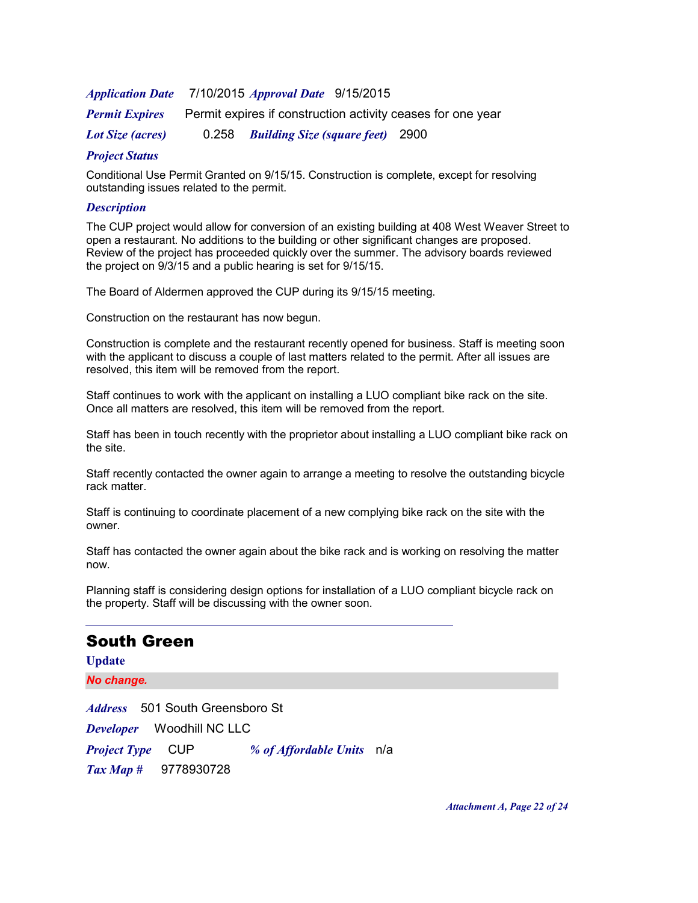| <b>Application Date</b> 7/10/2015 Approval Date 9/15/2015 |                                        |                                                             |
|-----------------------------------------------------------|----------------------------------------|-------------------------------------------------------------|
| <b>Permit Expires</b>                                     |                                        | Permit expires if construction activity ceases for one year |
| <b>Lot Size (acres)</b>                                   | 0.258 Building Size (square feet) 2900 |                                                             |

Conditional Use Permit Granted on 9/15/15. Construction is complete, except for resolving outstanding issues related to the permit.

#### *Description*

The CUP project would allow for conversion of an existing building at 408 West Weaver Street to open a restaurant. No additions to the building or other significant changes are proposed. Review of the project has proceeded quickly over the summer. The advisory boards reviewed the project on 9/3/15 and a public hearing is set for 9/15/15.

The Board of Aldermen approved the CUP during its 9/15/15 meeting.

Construction on the restaurant has now begun.

Construction is complete and the restaurant recently opened for business. Staff is meeting soon with the applicant to discuss a couple of last matters related to the permit. After all issues are resolved, this item will be removed from the report.

Staff continues to work with the applicant on installing a LUO compliant bike rack on the site. Once all matters are resolved, this item will be removed from the report.

Staff has been in touch recently with the proprietor about installing a LUO compliant bike rack on the site.

Staff recently contacted the owner again to arrange a meeting to resolve the outstanding bicycle rack matter.

Staff is continuing to coordinate placement of a new complying bike rack on the site with the owner.

Staff has contacted the owner again about the bike rack and is working on resolving the matter now.

Planning staff is considering design options for installation of a LUO compliant bicycle rack on the property. Staff will be discussing with the owner soon.

### South Green

501 South Greensboro St *Address Developer* Woodhill NC LLC *Tax Map #* 9778930728 **Update** *No change. Project Type* CUP *% of Affordable Units* n/a

*Attachment A, Page 22 of 24*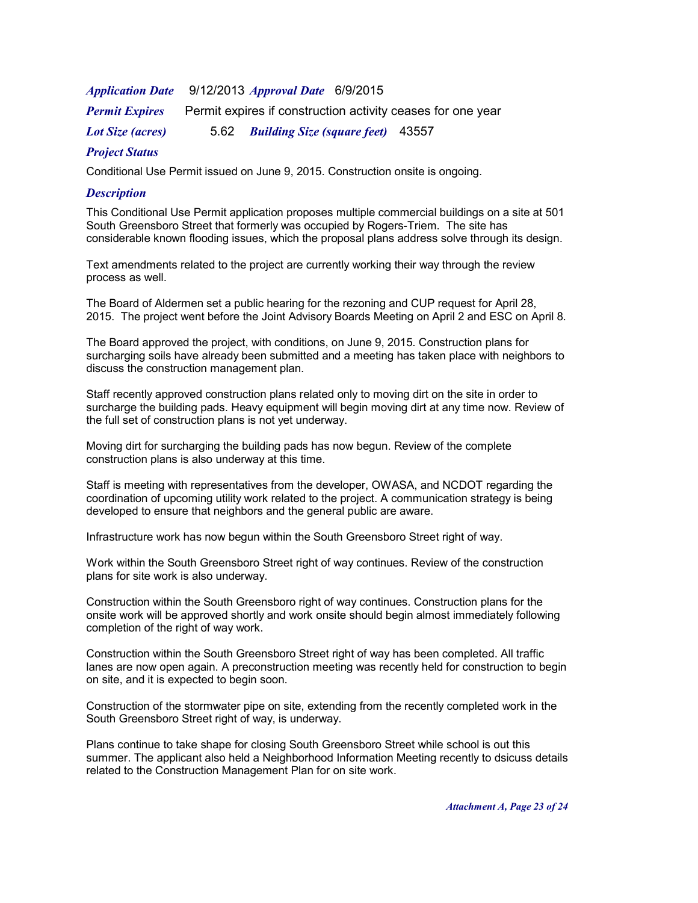| Application Date 9/12/2013 Approval Date 6/9/2015 |                                        |                                                             |
|---------------------------------------------------|----------------------------------------|-------------------------------------------------------------|
| <b>Permit Expires</b>                             |                                        | Permit expires if construction activity ceases for one year |
| <b>Lot Size (acres)</b>                           | 5.62 Building Size (square feet) 43557 |                                                             |

Conditional Use Permit issued on June 9, 2015. Construction onsite is ongoing.

#### *Description*

This Conditional Use Permit application proposes multiple commercial buildings on a site at 501 South Greensboro Street that formerly was occupied by Rogers-Triem. The site has considerable known flooding issues, which the proposal plans address solve through its design.

Text amendments related to the project are currently working their way through the review process as well.

The Board of Aldermen set a public hearing for the rezoning and CUP request for April 28, 2015. The project went before the Joint Advisory Boards Meeting on April 2 and ESC on April 8.

The Board approved the project, with conditions, on June 9, 2015. Construction plans for surcharging soils have already been submitted and a meeting has taken place with neighbors to discuss the construction management plan.

Staff recently approved construction plans related only to moving dirt on the site in order to surcharge the building pads. Heavy equipment will begin moving dirt at any time now. Review of the full set of construction plans is not yet underway.

Moving dirt for surcharging the building pads has now begun. Review of the complete construction plans is also underway at this time.

Staff is meeting with representatives from the developer, OWASA, and NCDOT regarding the coordination of upcoming utility work related to the project. A communication strategy is being developed to ensure that neighbors and the general public are aware.

Infrastructure work has now begun within the South Greensboro Street right of way.

Work within the South Greensboro Street right of way continues. Review of the construction plans for site work is also underway.

Construction within the South Greensboro right of way continues. Construction plans for the onsite work will be approved shortly and work onsite should begin almost immediately following completion of the right of way work.

Construction within the South Greensboro Street right of way has been completed. All traffic lanes are now open again. A preconstruction meeting was recently held for construction to begin on site, and it is expected to begin soon.

Construction of the stormwater pipe on site, extending from the recently completed work in the South Greensboro Street right of way, is underway.

Plans continue to take shape for closing South Greensboro Street while school is out this summer. The applicant also held a Neighborhood Information Meeting recently to dsicuss details related to the Construction Management Plan for on site work.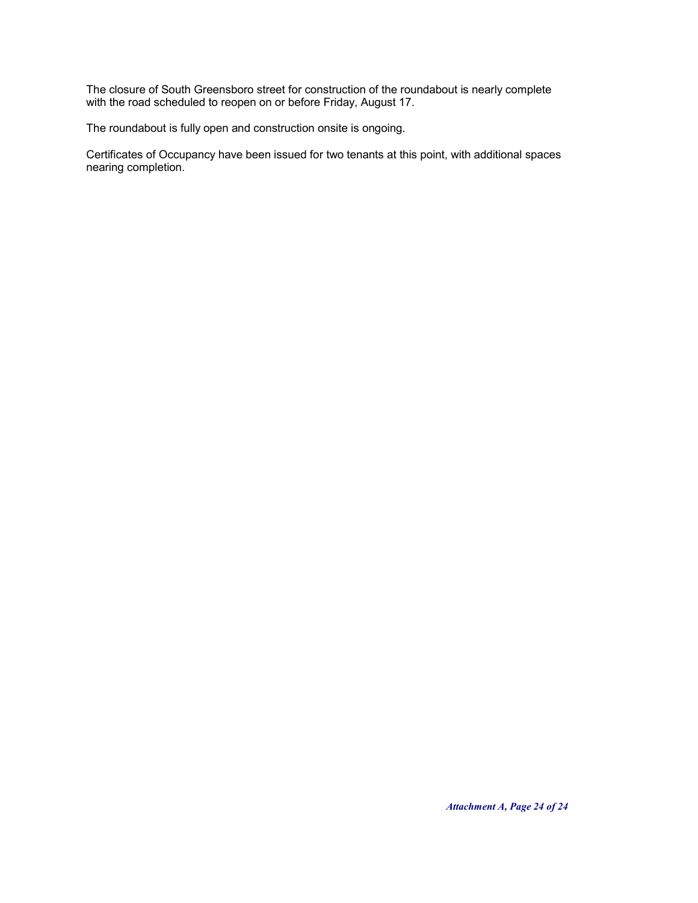The closure of South Greensboro street for construction of the roundabout is nearly complete with the road scheduled to reopen on or before Friday, August 17.

The roundabout is fully open and construction onsite is ongoing.

Certificates of Occupancy have been issued for two tenants at this point, with additional spaces nearing completion.

*Attachment A, Page 24 of 24*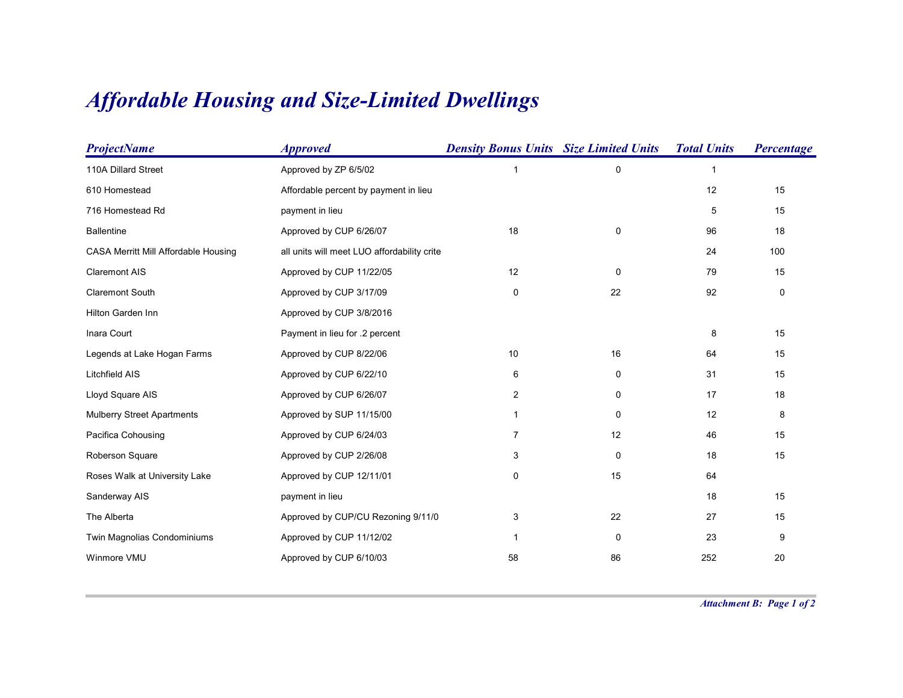## *Affordable Housing and Size-Limited Dwellings*

| <b>ProjectName</b>                   | <b>Approved</b>                             | <b>Density Bonus Units Size Limited Units</b> |    | <b>Total Units</b> | Percentage |
|--------------------------------------|---------------------------------------------|-----------------------------------------------|----|--------------------|------------|
| 110A Dillard Street                  | Approved by ZP 6/5/02                       | 1                                             | 0  | 1                  |            |
| 610 Homestead                        | Affordable percent by payment in lieu       |                                               |    | 12                 | 15         |
| 716 Homestead Rd                     | payment in lieu                             |                                               |    | 5                  | 15         |
| <b>Ballentine</b>                    | Approved by CUP 6/26/07                     | 18                                            | 0  | 96                 | 18         |
| CASA Merritt Mill Affordable Housing | all units will meet LUO affordability crite |                                               |    | 24                 | 100        |
| <b>Claremont AIS</b>                 | Approved by CUP 11/22/05                    | 12                                            | 0  | 79                 | 15         |
| Claremont South                      | Approved by CUP 3/17/09                     | 0                                             | 22 | 92                 | 0          |
| Hilton Garden Inn                    | Approved by CUP 3/8/2016                    |                                               |    |                    |            |
| Inara Court                          | Payment in lieu for .2 percent              |                                               |    | 8                  | 15         |
| Legends at Lake Hogan Farms          | Approved by CUP 8/22/06                     | 10                                            | 16 | 64                 | 15         |
| Litchfield AIS                       | Approved by CUP 6/22/10                     | 6                                             | 0  | 31                 | 15         |
| Lloyd Square AIS                     | Approved by CUP 6/26/07                     | 2                                             | 0  | 17                 | 18         |
| <b>Mulberry Street Apartments</b>    | Approved by SUP 11/15/00                    | $\mathbf{1}$                                  | 0  | 12                 | 8          |
| Pacifica Cohousing                   | Approved by CUP 6/24/03                     | 7                                             | 12 | 46                 | 15         |
| Roberson Square                      | Approved by CUP 2/26/08                     | 3                                             | 0  | 18                 | 15         |
| Roses Walk at University Lake        | Approved by CUP 12/11/01                    | 0                                             | 15 | 64                 |            |
| Sanderway AIS                        | payment in lieu                             |                                               |    | 18                 | 15         |
| The Alberta                          | Approved by CUP/CU Rezoning 9/11/0          | 3                                             | 22 | 27                 | 15         |
| Twin Magnolias Condominiums          | Approved by CUP 11/12/02                    |                                               | 0  | 23                 | 9          |
| Winmore VMU                          | Approved by CUP 6/10/03                     | 58                                            | 86 | 252                | 20         |
|                                      |                                             |                                               |    |                    |            |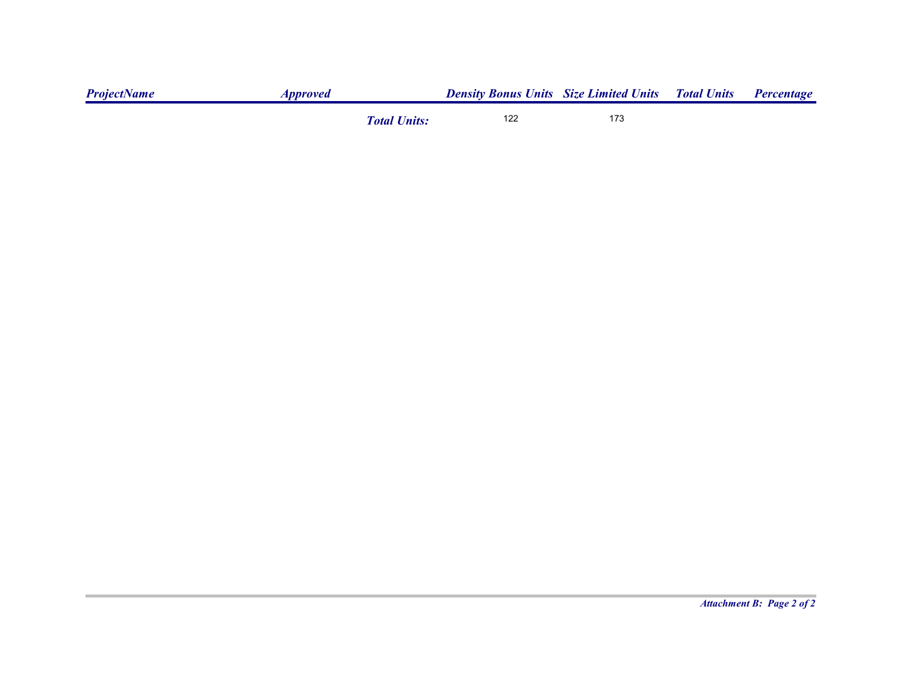| <b>ProjectName</b> | Approved |                     | <b>Density Bonus Units</b> Size Limited Units Total Units |     | <b>Percentage</b> |
|--------------------|----------|---------------------|-----------------------------------------------------------|-----|-------------------|
|                    |          | <b>Total Units:</b> | 122                                                       | 173 |                   |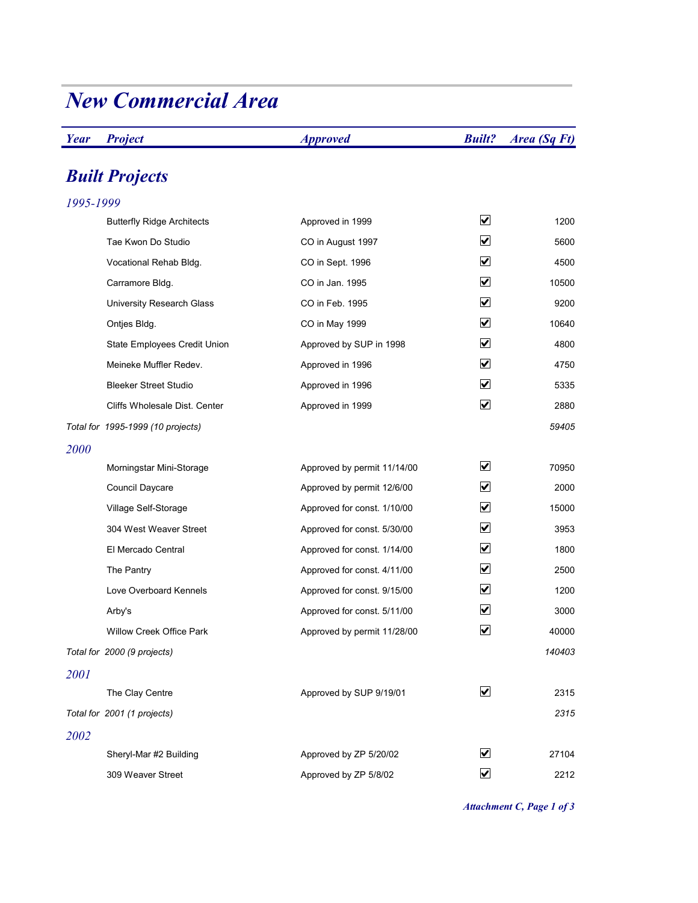| <b>Year</b> | <b>Project</b>                    | <b>Approved</b>             | <b>Built?</b>                | Area (Sq Ft) |
|-------------|-----------------------------------|-----------------------------|------------------------------|--------------|
|             | <b>Built Projects</b>             |                             |                              |              |
| 1995-1999   |                                   |                             |                              |              |
|             | <b>Butterfly Ridge Architects</b> | Approved in 1999            | $\blacktriangledown$         | 1200         |
|             | Tae Kwon Do Studio                | CO in August 1997           | M                            | 5600         |
|             | Vocational Rehab Bldg.            | CO in Sept. 1996            | ☑                            | 4500         |
|             | Carramore Bldg.                   | CO in Jan. 1995             | ☑                            | 10500        |
|             | University Research Glass         | CO in Feb. 1995             | ☑                            | 9200         |
|             | Ontjes Bldg.                      | CO in May 1999              | ☑                            | 10640        |
|             | State Employees Credit Union      | Approved by SUP in 1998     | ☑                            | 4800         |
|             | Meineke Muffler Redev.            | Approved in 1996            | ☑                            | 4750         |
|             | <b>Bleeker Street Studio</b>      | Approved in 1996            | $\overline{\mathbf{v}}$      | 5335         |
|             | Cliffs Wholesale Dist. Center     | Approved in 1999            | $\blacktriangledown$         | 2880         |
|             | Total for 1995-1999 (10 projects) |                             |                              | 59405        |
| 2000        |                                   |                             |                              |              |
|             | Morningstar Mini-Storage          | Approved by permit 11/14/00 | $\blacktriangledown$         | 70950        |
|             | Council Daycare                   | Approved by permit 12/6/00  | M                            | 2000         |
|             | Village Self-Storage              | Approved for const. 1/10/00 | ☑                            | 15000        |
|             | 304 West Weaver Street            | Approved for const. 5/30/00 | ☑                            | 3953         |
|             | El Mercado Central                | Approved for const. 1/14/00 | ☑                            | 1800         |
|             | The Pantry                        | Approved for const. 4/11/00 | ☑                            | 2500         |
|             | Love Overboard Kennels            | Approved for const. 9/15/00 | ☑                            | 1200         |
|             | Arby's                            | Approved for const. 5/11/00 | ☑                            | 3000         |
|             | Willow Creek Office Park          | Approved by permit 11/28/00 | ☑                            | 40000        |
|             | Total for 2000 (9 projects)       |                             |                              | 140403       |
| 2001        |                                   |                             |                              |              |
|             | The Clay Centre                   | Approved by SUP 9/19/01     | $\boxed{\blacktriangledown}$ | 2315         |
|             | Total for 2001 (1 projects)       |                             |                              | 2315         |
| 2002        |                                   |                             |                              |              |
|             | Sheryl-Mar #2 Building            | Approved by ZP 5/20/02      | $\boxed{\mathbf{v}}$         | 27104        |
|             | 309 Weaver Street                 | Approved by ZP 5/8/02       | $\overline{\mathbf{v}}$      | 2212         |

# *New Commercial Area*

*Attachment C, Page 1 of 3*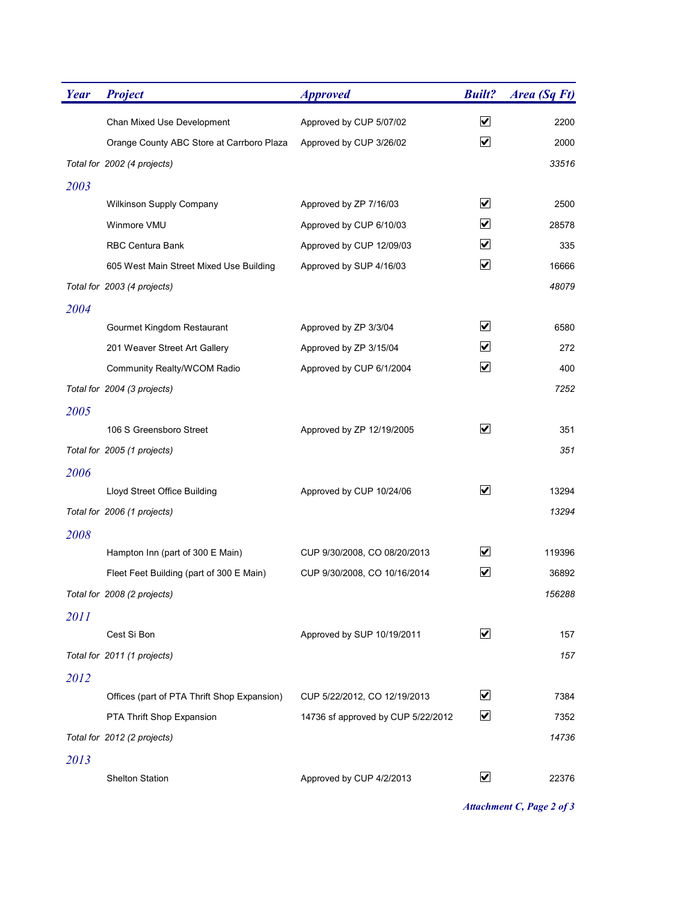| <b>Year</b> | <b>Project</b>                              | <b>Approved</b>                    | <b>Built?</b>        | Area (Sq Ft) |
|-------------|---------------------------------------------|------------------------------------|----------------------|--------------|
|             | Chan Mixed Use Development                  | Approved by CUP 5/07/02            | ☑                    | 2200         |
|             | Orange County ABC Store at Carrboro Plaza   | Approved by CUP 3/26/02            | ⊻                    | 2000         |
|             | Total for 2002 (4 projects)                 |                                    |                      | 33516        |
| 2003        |                                             |                                    |                      |              |
|             | Wilkinson Supply Company                    | Approved by ZP 7/16/03             | ☑                    | 2500         |
|             | Winmore VMU                                 | Approved by CUP 6/10/03            | ⊻                    | 28578        |
|             | <b>RBC Centura Bank</b>                     | Approved by CUP 12/09/03           | ⊻                    | 335          |
|             | 605 West Main Street Mixed Use Building     | Approved by SUP 4/16/03            | ⊻                    | 16666        |
|             | Total for 2003 (4 projects)                 |                                    |                      | 48079        |
| 2004        |                                             |                                    |                      |              |
|             | Gourmet Kingdom Restaurant                  | Approved by ZP 3/3/04              | ⊻                    | 6580         |
|             | 201 Weaver Street Art Gallery               | Approved by ZP 3/15/04             | ⊻                    | 272          |
|             | Community Realty/WCOM Radio                 | Approved by CUP 6/1/2004           | ☑                    | 400          |
|             | Total for 2004 (3 projects)                 |                                    |                      | 7252         |
| 2005        |                                             |                                    |                      |              |
|             | 106 S Greensboro Street                     | Approved by ZP 12/19/2005          | ☑                    | 351          |
|             | Total for 2005 (1 projects)                 |                                    |                      | 351          |
| 2006        |                                             |                                    |                      |              |
|             | Lloyd Street Office Building                | Approved by CUP 10/24/06           | ⊻                    | 13294        |
|             | Total for 2006 (1 projects)                 |                                    |                      | 13294        |
| 2008        |                                             |                                    |                      |              |
|             | Hampton Inn (part of 300 E Main)            | CUP 9/30/2008, CO 08/20/2013       | ⊻                    | 119396       |
|             | Fleet Feet Building (part of 300 E Main)    | CUP 9/30/2008, CO 10/16/2014       | ⊻                    | 36892        |
|             | Total for 2008 (2 projects)                 |                                    |                      | 156288       |
| 2011        |                                             |                                    |                      |              |
|             | Cest Si Bon                                 | Approved by SUP 10/19/2011         | ☑                    | 157          |
|             | Total for 2011 (1 projects)                 |                                    |                      | 157          |
| 2012        |                                             |                                    |                      |              |
|             | Offices (part of PTA Thrift Shop Expansion) | CUP 5/22/2012, CO 12/19/2013       | ☑                    | 7384         |
|             | PTA Thrift Shop Expansion                   | 14736 sf approved by CUP 5/22/2012 | ☑                    | 7352         |
|             | Total for 2012 (2 projects)                 |                                    |                      | 14736        |
| 2013        |                                             |                                    |                      |              |
|             | <b>Shelton Station</b>                      | Approved by CUP 4/2/2013           | $\blacktriangledown$ | 22376        |

*Attachment C, Page 2 of 3*